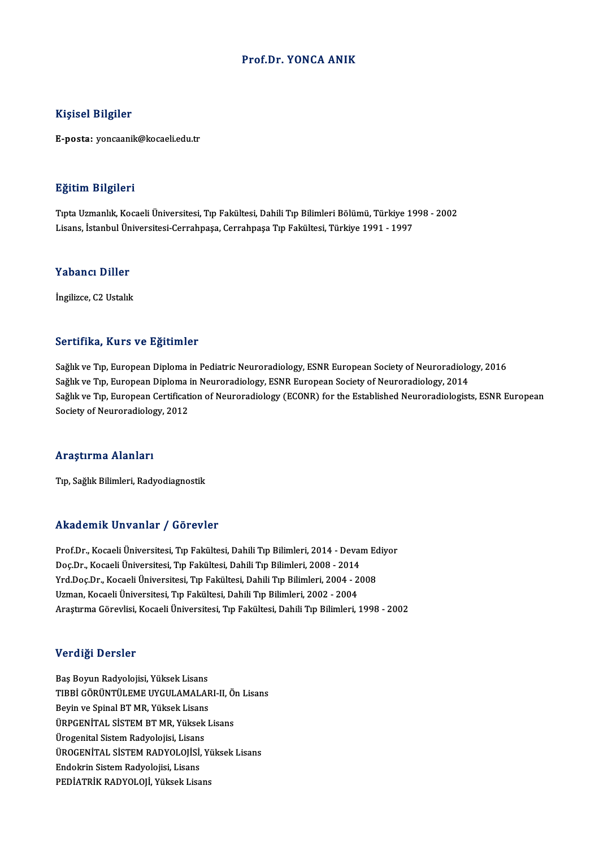#### Prof.Dr. YONCA ANIK

#### Kişisel Bilgiler

E-posta: yoncaanik@kocaeli.edu.tr

#### Eğitim Bilgileri

<mark>Eğitim Bilgileri</mark><br>Tıpta Uzmanlık, Kocaeli Üniversitesi, Tıp Fakültesi, Dahili Tıp Bilimleri Bölümü, Türkiye 1998 - 2002<br>Lisans İstanbul Üniversitesi Carrabnasa Carrabnasa Tın Fakültesi Türkiye 1991, 1997 Lisanan Daryaroa<br>Tıpta Uzmanlık, Kocaeli Üniversitesi, Tıp Fakültesi, Dahili Tıp Bilimleri Bölümü, Türkiye 19<br>Lisans, İstanbul Üniversitesi-Cerrahpaşa, Cerrahpaşa Tıp Fakültesi, Türkiye 1991 - 1997 Lisans, İstanbul Üniversitesi-Cerrahpaşa, Cerrahpaşa Tıp Fakültesi, Türkiye 1991 - 1997<br>Yabancı Diller

İngilizce, C2 Ustalık

#### Sertifika, Kurs ve Eğitimler

Sağlık ve Tıp, European Diploma in Pediatric Neuroradiology, ESNR European Society of Neuroradiology, 2016 Sağlık ve Tıp, European Diploma in Neuroradiology, ESNR European Society of Neuroradiology, 2014 Sağlık ve Tıp, European Diploma in Pediatric Neuroradiology, ESNR European Society of Neuroradiology, 2016<br>Sağlık ve Tıp, European Diploma in Neuroradiology, ESNR European Society of Neuroradiology, 2014<br>Sağlık ve Tıp, Eur Sağlık ve Tıp, European Diploma i<br>Sağlık ve Tıp, European Certificati<br>Society of Neuroradiology, 2012 Society of Neuroradiology, 2012<br>Araştırma Alanları

Tıp, Sağlık Bilimleri, Radyodiagnostik

#### Akademik Unvanlar / Görevler

Prof.Dr., Kocaeli Üniversitesi, Tıp Fakültesi, Dahili Tıp Bilimleri, 2014 - Devam Ediyor Doç.Dr., Kocaeli Üniversitesi, Tıp Fakültesi, Dahili Tıp Bilimleri, 2008 - 2014 Prof.Dr., Kocaeli Üniversitesi, Tıp Fakültesi, Dahili Tıp Bilimleri, 2014 - Devam Ed<br>Doç.Dr., Kocaeli Üniversitesi, Tıp Fakültesi, Dahili Tıp Bilimleri, 2008 - 2014<br>Yrd.Doç.Dr., Kocaeli Üniversitesi, Tıp Fakültesi, Dahili Doç.Dr., Kocaeli Üniversitesi, Tıp Fakültesi, Dahili Tıp Bilimleri, 2008 - 2014<br>Yrd.Doç.Dr., Kocaeli Üniversitesi, Tıp Fakültesi, Dahili Tıp Bilimleri, 2004 - 2<br>Uzman, Kocaeli Üniversitesi, Tıp Fakültesi, Dahili Tıp Biliml Uzman, Kocaeli Üniversitesi, Tıp Fakültesi, Dahili Tıp Bilimleri, 2002 - 2004<br>Araştırma Görevlisi, Kocaeli Üniversitesi, Tıp Fakültesi, Dahili Tıp Bilimleri, 1998 - 2002

#### Verdiği Dersler

Baş Boyun Radyolojisi, Yüksek Lisans Vorlangi Dörbion<br>Baş Boyun Radyolojisi, Yüksek Lisans<br>TIBBİ GÖRÜNTÜLEME UYGULAMALARI-II, Ön Lisans<br>Boyin ve Spinal PT MB, Yüksek Lisans Baş Boyun Radyolojisi, Yüksek Lisans<br>TIBBİ GÖRÜNTÜLEME UYGULAMALAF<br>Beyin ve Spinal BT MR, Yüksek Lisans<br>ÜPPCENİTAL SİSTEM BT MP, Yüksek L TIBBİ GÖRÜNTÜLEME UYGULAMALARI-II, Ö:<br>Beyin ve Spinal BT MR, Yüksek Lisans<br>ÜRPGENİTAL SİSTEM BT MR, Yüksek Lisans<br>Ürogenital Sistem Pedualajisi, Lisans Beyin ve Spinal BT MR, Yüksek Lisans<br>ÜRPGENİTAL SİSTEM BT MR, Yüksek Lisans<br>Ürogenital Sistem Radyolojisi, Lisans ÜRPGENİTAL SİSTEM BT MR, Yüksek Lisans<br>Ürogenital Sistem Radyolojisi, Lisans<br>ÜROGENİTAL SİSTEM RADYOLOJİSİ, Yüksek Lisans<br>Endelmin Sistem Padyolojisi, Lisans Ürogenital Sistem Radyolojisi, Lisans<br>ÜROGENİTAL SİSTEM RADYOLOJİSİ,<br>Endokrin Sistem Radyolojisi, Lisans<br>PEDİATRİK RADYOLOJİ, Yüksek Lisa ÜROGENİTAL SİSTEM RADYOLOJİSİ, Yı<br>Endokrin Sistem Radyolojisi, Lisans<br>PEDİATRİK RADYOLOJİ, Yüksek Lisans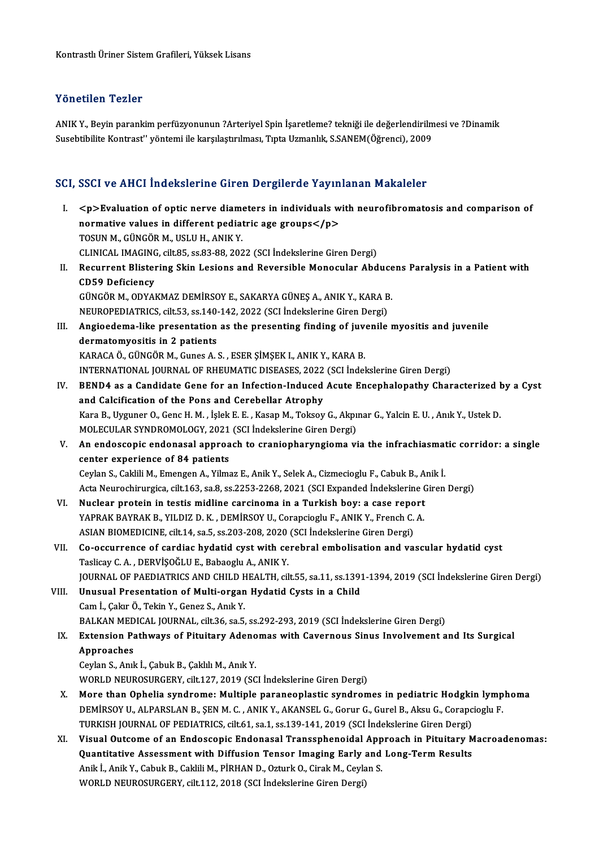### Yönetilen Tezler

Yönetilen Tezler<br>ANIK Y., Beyin parankim perfüzyonunun ?Arteriyel Spin İşaretleme? tekniği ile değerlendirilmesi ve ?Dinamik<br>Susebtibilite Kontrest'' vöntemi ile karsılastırılmesi, Tınta Uzmanlık, S.SANEM(Öğrensi), 2009 1 SASSASAT 1 SASS.<br>ANIK Y., Beyin parankim perfüzyonunun ?Arteriyel Spin İşaretleme? tekniği ile değerlendirilm<br>Susebtibilite Kontrast'' yöntemi ile karşılaştırılması, Tıpta Uzmanlık, S.SANEM(Öğrenci), 2009

# Suseoublike Kontrast Yontemi ile karşılaşurliması, Tipta Ozmanlık, S.SANEM(Ogrenci), 2009<br>SCI, SSCI ve AHCI İndekslerine Giren Dergilerde Yayınlanan Makaleler

| <p>Evaluation of optic nerve diameters in individuals with neurofibromatosis and comparison of<br/>Ι.<br/>normative values in different pediatric age groups</p><br>TOSUN M., GÜNGÖR M., USLU H., ANIK Y.<br>CLINICAL IMAGING, cilt.85, ss.83-88, 2022 (SCI Indekslerine Giren Dergi)<br>Recurrent Blistering Skin Lesions and Reversible Monocular Abducens Paralysis in a Patient with<br>П.<br><b>CD59 Deficiency</b><br>GÜNGÖR M., ODYAKMAZ DEMİRSOY E., SAKARYA GÜNEŞ A., ANIK Y., KARA B.<br>NEUROPEDIATRICS, cilt.53, ss.140-142, 2022 (SCI İndekslerine Giren Dergi)<br>Angioedema-like presentation as the presenting finding of juvenile myositis and juvenile<br>III.<br>dermatomyositis in 2 patients<br>KARACA Ö., GÜNGÖR M., Gunes A. S., ESER ŞİMŞEK I., ANIK Y., KARA B.<br>INTERNATIONAL JOURNAL OF RHEUMATIC DISEASES, 2022 (SCI İndekslerine Giren Dergi)<br>BEND4 as a Candidate Gene for an Infection-Induced Acute Encephalopathy Characterized by a Cyst<br>IV.<br>and Calcification of the Pons and Cerebellar Atrophy<br>Kara B., Uyguner O., Genc H. M., İşlek E. E., Kasap M., Toksoy G., Akpınar G., Yalcin E. U., Anık Y., Ustek D.<br>MOLECULAR SYNDROMOLOGY, 2021 (SCI İndekslerine Giren Dergi)<br>An endoscopic endonasal approach to craniopharyngioma via the infrachiasmatic corridor: a single<br>V.<br>center experience of 84 patients<br>Ceylan S., Caklili M., Emengen A., Yilmaz E., Anik Y., Selek A., Cizmecioglu F., Cabuk B., Anik İ.<br>Acta Neurochirurgica, cilt.163, sa.8, ss.2253-2268, 2021 (SCI Expanded İndekslerine Giren Dergi)<br>Nuclear protein in testis midline carcinoma in a Turkish boy: a case report<br>VI.<br>YAPRAK BAYRAK B., YILDIZ D. K., DEMİRSOY U., Corapcioglu F., ANIK Y., French C. A.<br>ASIAN BIOMEDICINE, cilt.14, sa.5, ss.203-208, 2020 (SCI Indekslerine Giren Dergi)<br>Co-occurrence of cardiac hydatid cyst with cerebral embolisation and vascular hydatid cyst<br>VII.<br>Taslicay C. A., DERVİŞOĞLU E., Babaoglu A., ANIK Y.<br>JOURNAL OF PAEDIATRICS AND CHILD HEALTH, cilt.55, sa.11, ss.1391-1394, 2019 (SCI Indekslerine Giren Dergi)<br>VIII.<br>Unusual Presentation of Multi-organ Hydatid Cysts in a Child<br>Cam İ., Çakır Ö., Tekin Y., Genez S., Anık Y.<br>BALKAN MEDICAL JOURNAL, cilt.36, sa.5, ss.292-293, 2019 (SCI İndekslerine Giren Dergi)<br>Extension Pathways of Pituitary Adenomas with Cavernous Sinus Involvement and Its Surgical<br>IX.<br>Approaches |
|----------------------------------------------------------------------------------------------------------------------------------------------------------------------------------------------------------------------------------------------------------------------------------------------------------------------------------------------------------------------------------------------------------------------------------------------------------------------------------------------------------------------------------------------------------------------------------------------------------------------------------------------------------------------------------------------------------------------------------------------------------------------------------------------------------------------------------------------------------------------------------------------------------------------------------------------------------------------------------------------------------------------------------------------------------------------------------------------------------------------------------------------------------------------------------------------------------------------------------------------------------------------------------------------------------------------------------------------------------------------------------------------------------------------------------------------------------------------------------------------------------------------------------------------------------------------------------------------------------------------------------------------------------------------------------------------------------------------------------------------------------------------------------------------------------------------------------------------------------------------------------------------------------------------------------------------------------------------------------------------------------------------------------------------------------------------------------------------------------------------------------------------------------------------------------------------------------------------------------------------------------------------------------------------------------------------------------------------------------------------------------------------------------------------------------------------------------------------------|
|                                                                                                                                                                                                                                                                                                                                                                                                                                                                                                                                                                                                                                                                                                                                                                                                                                                                                                                                                                                                                                                                                                                                                                                                                                                                                                                                                                                                                                                                                                                                                                                                                                                                                                                                                                                                                                                                                                                                                                                                                                                                                                                                                                                                                                                                                                                                                                                                                                                                            |
|                                                                                                                                                                                                                                                                                                                                                                                                                                                                                                                                                                                                                                                                                                                                                                                                                                                                                                                                                                                                                                                                                                                                                                                                                                                                                                                                                                                                                                                                                                                                                                                                                                                                                                                                                                                                                                                                                                                                                                                                                                                                                                                                                                                                                                                                                                                                                                                                                                                                            |
|                                                                                                                                                                                                                                                                                                                                                                                                                                                                                                                                                                                                                                                                                                                                                                                                                                                                                                                                                                                                                                                                                                                                                                                                                                                                                                                                                                                                                                                                                                                                                                                                                                                                                                                                                                                                                                                                                                                                                                                                                                                                                                                                                                                                                                                                                                                                                                                                                                                                            |
|                                                                                                                                                                                                                                                                                                                                                                                                                                                                                                                                                                                                                                                                                                                                                                                                                                                                                                                                                                                                                                                                                                                                                                                                                                                                                                                                                                                                                                                                                                                                                                                                                                                                                                                                                                                                                                                                                                                                                                                                                                                                                                                                                                                                                                                                                                                                                                                                                                                                            |
|                                                                                                                                                                                                                                                                                                                                                                                                                                                                                                                                                                                                                                                                                                                                                                                                                                                                                                                                                                                                                                                                                                                                                                                                                                                                                                                                                                                                                                                                                                                                                                                                                                                                                                                                                                                                                                                                                                                                                                                                                                                                                                                                                                                                                                                                                                                                                                                                                                                                            |
|                                                                                                                                                                                                                                                                                                                                                                                                                                                                                                                                                                                                                                                                                                                                                                                                                                                                                                                                                                                                                                                                                                                                                                                                                                                                                                                                                                                                                                                                                                                                                                                                                                                                                                                                                                                                                                                                                                                                                                                                                                                                                                                                                                                                                                                                                                                                                                                                                                                                            |
|                                                                                                                                                                                                                                                                                                                                                                                                                                                                                                                                                                                                                                                                                                                                                                                                                                                                                                                                                                                                                                                                                                                                                                                                                                                                                                                                                                                                                                                                                                                                                                                                                                                                                                                                                                                                                                                                                                                                                                                                                                                                                                                                                                                                                                                                                                                                                                                                                                                                            |
|                                                                                                                                                                                                                                                                                                                                                                                                                                                                                                                                                                                                                                                                                                                                                                                                                                                                                                                                                                                                                                                                                                                                                                                                                                                                                                                                                                                                                                                                                                                                                                                                                                                                                                                                                                                                                                                                                                                                                                                                                                                                                                                                                                                                                                                                                                                                                                                                                                                                            |
|                                                                                                                                                                                                                                                                                                                                                                                                                                                                                                                                                                                                                                                                                                                                                                                                                                                                                                                                                                                                                                                                                                                                                                                                                                                                                                                                                                                                                                                                                                                                                                                                                                                                                                                                                                                                                                                                                                                                                                                                                                                                                                                                                                                                                                                                                                                                                                                                                                                                            |
|                                                                                                                                                                                                                                                                                                                                                                                                                                                                                                                                                                                                                                                                                                                                                                                                                                                                                                                                                                                                                                                                                                                                                                                                                                                                                                                                                                                                                                                                                                                                                                                                                                                                                                                                                                                                                                                                                                                                                                                                                                                                                                                                                                                                                                                                                                                                                                                                                                                                            |
|                                                                                                                                                                                                                                                                                                                                                                                                                                                                                                                                                                                                                                                                                                                                                                                                                                                                                                                                                                                                                                                                                                                                                                                                                                                                                                                                                                                                                                                                                                                                                                                                                                                                                                                                                                                                                                                                                                                                                                                                                                                                                                                                                                                                                                                                                                                                                                                                                                                                            |
|                                                                                                                                                                                                                                                                                                                                                                                                                                                                                                                                                                                                                                                                                                                                                                                                                                                                                                                                                                                                                                                                                                                                                                                                                                                                                                                                                                                                                                                                                                                                                                                                                                                                                                                                                                                                                                                                                                                                                                                                                                                                                                                                                                                                                                                                                                                                                                                                                                                                            |
|                                                                                                                                                                                                                                                                                                                                                                                                                                                                                                                                                                                                                                                                                                                                                                                                                                                                                                                                                                                                                                                                                                                                                                                                                                                                                                                                                                                                                                                                                                                                                                                                                                                                                                                                                                                                                                                                                                                                                                                                                                                                                                                                                                                                                                                                                                                                                                                                                                                                            |
|                                                                                                                                                                                                                                                                                                                                                                                                                                                                                                                                                                                                                                                                                                                                                                                                                                                                                                                                                                                                                                                                                                                                                                                                                                                                                                                                                                                                                                                                                                                                                                                                                                                                                                                                                                                                                                                                                                                                                                                                                                                                                                                                                                                                                                                                                                                                                                                                                                                                            |
|                                                                                                                                                                                                                                                                                                                                                                                                                                                                                                                                                                                                                                                                                                                                                                                                                                                                                                                                                                                                                                                                                                                                                                                                                                                                                                                                                                                                                                                                                                                                                                                                                                                                                                                                                                                                                                                                                                                                                                                                                                                                                                                                                                                                                                                                                                                                                                                                                                                                            |
|                                                                                                                                                                                                                                                                                                                                                                                                                                                                                                                                                                                                                                                                                                                                                                                                                                                                                                                                                                                                                                                                                                                                                                                                                                                                                                                                                                                                                                                                                                                                                                                                                                                                                                                                                                                                                                                                                                                                                                                                                                                                                                                                                                                                                                                                                                                                                                                                                                                                            |
|                                                                                                                                                                                                                                                                                                                                                                                                                                                                                                                                                                                                                                                                                                                                                                                                                                                                                                                                                                                                                                                                                                                                                                                                                                                                                                                                                                                                                                                                                                                                                                                                                                                                                                                                                                                                                                                                                                                                                                                                                                                                                                                                                                                                                                                                                                                                                                                                                                                                            |
|                                                                                                                                                                                                                                                                                                                                                                                                                                                                                                                                                                                                                                                                                                                                                                                                                                                                                                                                                                                                                                                                                                                                                                                                                                                                                                                                                                                                                                                                                                                                                                                                                                                                                                                                                                                                                                                                                                                                                                                                                                                                                                                                                                                                                                                                                                                                                                                                                                                                            |
|                                                                                                                                                                                                                                                                                                                                                                                                                                                                                                                                                                                                                                                                                                                                                                                                                                                                                                                                                                                                                                                                                                                                                                                                                                                                                                                                                                                                                                                                                                                                                                                                                                                                                                                                                                                                                                                                                                                                                                                                                                                                                                                                                                                                                                                                                                                                                                                                                                                                            |
|                                                                                                                                                                                                                                                                                                                                                                                                                                                                                                                                                                                                                                                                                                                                                                                                                                                                                                                                                                                                                                                                                                                                                                                                                                                                                                                                                                                                                                                                                                                                                                                                                                                                                                                                                                                                                                                                                                                                                                                                                                                                                                                                                                                                                                                                                                                                                                                                                                                                            |
|                                                                                                                                                                                                                                                                                                                                                                                                                                                                                                                                                                                                                                                                                                                                                                                                                                                                                                                                                                                                                                                                                                                                                                                                                                                                                                                                                                                                                                                                                                                                                                                                                                                                                                                                                                                                                                                                                                                                                                                                                                                                                                                                                                                                                                                                                                                                                                                                                                                                            |
|                                                                                                                                                                                                                                                                                                                                                                                                                                                                                                                                                                                                                                                                                                                                                                                                                                                                                                                                                                                                                                                                                                                                                                                                                                                                                                                                                                                                                                                                                                                                                                                                                                                                                                                                                                                                                                                                                                                                                                                                                                                                                                                                                                                                                                                                                                                                                                                                                                                                            |
|                                                                                                                                                                                                                                                                                                                                                                                                                                                                                                                                                                                                                                                                                                                                                                                                                                                                                                                                                                                                                                                                                                                                                                                                                                                                                                                                                                                                                                                                                                                                                                                                                                                                                                                                                                                                                                                                                                                                                                                                                                                                                                                                                                                                                                                                                                                                                                                                                                                                            |
|                                                                                                                                                                                                                                                                                                                                                                                                                                                                                                                                                                                                                                                                                                                                                                                                                                                                                                                                                                                                                                                                                                                                                                                                                                                                                                                                                                                                                                                                                                                                                                                                                                                                                                                                                                                                                                                                                                                                                                                                                                                                                                                                                                                                                                                                                                                                                                                                                                                                            |
|                                                                                                                                                                                                                                                                                                                                                                                                                                                                                                                                                                                                                                                                                                                                                                                                                                                                                                                                                                                                                                                                                                                                                                                                                                                                                                                                                                                                                                                                                                                                                                                                                                                                                                                                                                                                                                                                                                                                                                                                                                                                                                                                                                                                                                                                                                                                                                                                                                                                            |
|                                                                                                                                                                                                                                                                                                                                                                                                                                                                                                                                                                                                                                                                                                                                                                                                                                                                                                                                                                                                                                                                                                                                                                                                                                                                                                                                                                                                                                                                                                                                                                                                                                                                                                                                                                                                                                                                                                                                                                                                                                                                                                                                                                                                                                                                                                                                                                                                                                                                            |
|                                                                                                                                                                                                                                                                                                                                                                                                                                                                                                                                                                                                                                                                                                                                                                                                                                                                                                                                                                                                                                                                                                                                                                                                                                                                                                                                                                                                                                                                                                                                                                                                                                                                                                                                                                                                                                                                                                                                                                                                                                                                                                                                                                                                                                                                                                                                                                                                                                                                            |
|                                                                                                                                                                                                                                                                                                                                                                                                                                                                                                                                                                                                                                                                                                                                                                                                                                                                                                                                                                                                                                                                                                                                                                                                                                                                                                                                                                                                                                                                                                                                                                                                                                                                                                                                                                                                                                                                                                                                                                                                                                                                                                                                                                                                                                                                                                                                                                                                                                                                            |
| Ceylan S., Anık İ., Cabuk B., Çaklılı M., Anık Y.                                                                                                                                                                                                                                                                                                                                                                                                                                                                                                                                                                                                                                                                                                                                                                                                                                                                                                                                                                                                                                                                                                                                                                                                                                                                                                                                                                                                                                                                                                                                                                                                                                                                                                                                                                                                                                                                                                                                                                                                                                                                                                                                                                                                                                                                                                                                                                                                                          |
| WORLD NEUROSURGERY, cilt.127, 2019 (SCI İndekslerine Giren Dergi)                                                                                                                                                                                                                                                                                                                                                                                                                                                                                                                                                                                                                                                                                                                                                                                                                                                                                                                                                                                                                                                                                                                                                                                                                                                                                                                                                                                                                                                                                                                                                                                                                                                                                                                                                                                                                                                                                                                                                                                                                                                                                                                                                                                                                                                                                                                                                                                                          |
| More than Ophelia syndrome: Multiple paraneoplastic syndromes in pediatric Hodgkin lymphoma<br>X.                                                                                                                                                                                                                                                                                                                                                                                                                                                                                                                                                                                                                                                                                                                                                                                                                                                                                                                                                                                                                                                                                                                                                                                                                                                                                                                                                                                                                                                                                                                                                                                                                                                                                                                                                                                                                                                                                                                                                                                                                                                                                                                                                                                                                                                                                                                                                                          |
| DEMIRSOY U., ALPARSLAN B., ŞEN M. C., ANIK Y., AKANSEL G., Gorur G., Gurel B., Aksu G., Corapcioglu F.                                                                                                                                                                                                                                                                                                                                                                                                                                                                                                                                                                                                                                                                                                                                                                                                                                                                                                                                                                                                                                                                                                                                                                                                                                                                                                                                                                                                                                                                                                                                                                                                                                                                                                                                                                                                                                                                                                                                                                                                                                                                                                                                                                                                                                                                                                                                                                     |
| TURKISH JOURNAL OF PEDIATRICS, cilt.61, sa.1, ss.139-141, 2019 (SCI İndekslerine Giren Dergi)                                                                                                                                                                                                                                                                                                                                                                                                                                                                                                                                                                                                                                                                                                                                                                                                                                                                                                                                                                                                                                                                                                                                                                                                                                                                                                                                                                                                                                                                                                                                                                                                                                                                                                                                                                                                                                                                                                                                                                                                                                                                                                                                                                                                                                                                                                                                                                              |
| Visual Outcome of an Endoscopic Endonasal Transsphenoidal Approach in Pituitary Macroadenomas:<br>XI.                                                                                                                                                                                                                                                                                                                                                                                                                                                                                                                                                                                                                                                                                                                                                                                                                                                                                                                                                                                                                                                                                                                                                                                                                                                                                                                                                                                                                                                                                                                                                                                                                                                                                                                                                                                                                                                                                                                                                                                                                                                                                                                                                                                                                                                                                                                                                                      |
| Quantitative Assessment with Diffusion Tensor Imaging Early and Long-Term Results                                                                                                                                                                                                                                                                                                                                                                                                                                                                                                                                                                                                                                                                                                                                                                                                                                                                                                                                                                                                                                                                                                                                                                                                                                                                                                                                                                                                                                                                                                                                                                                                                                                                                                                                                                                                                                                                                                                                                                                                                                                                                                                                                                                                                                                                                                                                                                                          |
| Anik İ., Anik Y., Cabuk B., Caklili M., PİRHAN D., Ozturk O., Cirak M., Ceylan S.                                                                                                                                                                                                                                                                                                                                                                                                                                                                                                                                                                                                                                                                                                                                                                                                                                                                                                                                                                                                                                                                                                                                                                                                                                                                                                                                                                                                                                                                                                                                                                                                                                                                                                                                                                                                                                                                                                                                                                                                                                                                                                                                                                                                                                                                                                                                                                                          |
| WORLD NEUROSURGERY, cilt.112, 2018 (SCI İndekslerine Giren Dergi)                                                                                                                                                                                                                                                                                                                                                                                                                                                                                                                                                                                                                                                                                                                                                                                                                                                                                                                                                                                                                                                                                                                                                                                                                                                                                                                                                                                                                                                                                                                                                                                                                                                                                                                                                                                                                                                                                                                                                                                                                                                                                                                                                                                                                                                                                                                                                                                                          |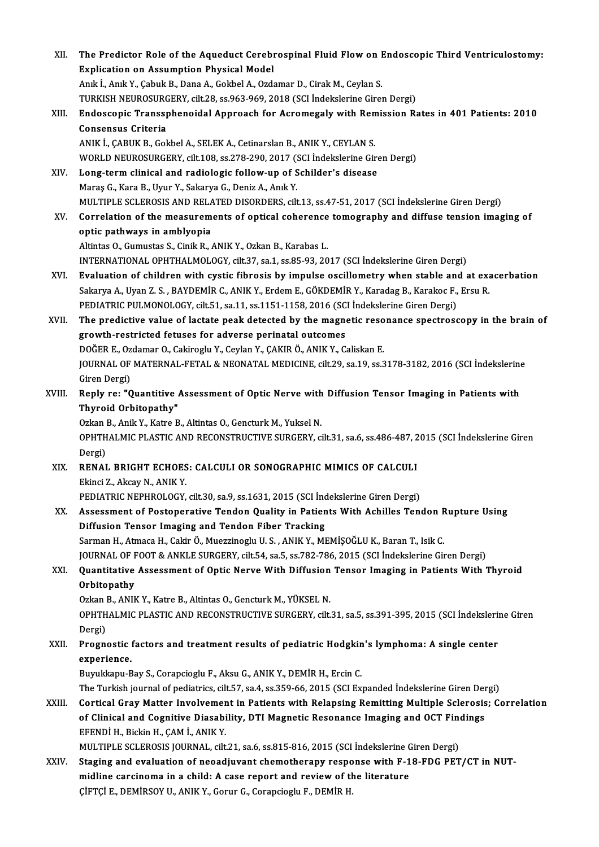| XII.   | The Predictor Role of the Aqueduct Cerebrospinal Fluid Flow on Endoscopic Third Ventriculostomy:          |
|--------|-----------------------------------------------------------------------------------------------------------|
|        | <b>Explication on Assumption Physical Model</b>                                                           |
|        | Anık İ., Anık Y., Çabuk B., Dana A., Gokbel A., Ozdamar D., Cirak M., Ceylan S.                           |
|        | TURKISH NEUROSURGERY, cilt.28, ss.963-969, 2018 (SCI İndekslerine Giren Dergi)                            |
| XIII.  | Endoscopic Transsphenoidal Approach for Acromegaly with Remission Rates in 401 Patients: 2010             |
|        | <b>Consensus Criteria</b>                                                                                 |
|        | ANIK İ., ÇABUK B., Gokbel A., SELEK A., Cetinarslan B., ANIK Y., CEYLAN S.                                |
|        | WORLD NEUROSURGERY, cilt.108, ss.278-290, 2017 (SCI İndekslerine Giren Dergi)                             |
| XIV.   | Long-term clinical and radiologic follow-up of Schilder's disease                                         |
|        | Maraş G., Kara B., Uyur Y., Sakarya G., Deniz A., Anık Y.                                                 |
|        | MULTIPLE SCLEROSIS AND RELATED DISORDERS, cilt.13, ss.47-51, 2017 (SCI İndekslerine Giren Dergi)          |
| XV.    | Correlation of the measurements of optical coherence tomography and diffuse tension imaging of            |
|        | optic pathways in amblyopia                                                                               |
|        | Altintas O., Gumustas S., Cinik R., ANIK Y., Ozkan B., Karabas L.                                         |
|        | INTERNATIONAL OPHTHALMOLOGY, cilt.37, sa.1, ss.85-93, 2017 (SCI Indekslerine Giren Dergi)                 |
| XVI.   | Evaluation of children with cystic fibrosis by impulse oscillometry when stable and at exacerbation       |
|        | Sakarya A., Uyan Z. S., BAYDEMİR C., ANIK Y., Erdem E., GÖKDEMİR Y., Karadag B., Karakoc F., Ersu R.      |
|        | PEDIATRIC PULMONOLOGY, cilt.51, sa.11, ss.1151-1158, 2016 (SCI Indekslerine Giren Dergi)                  |
| XVII.  | The predictive value of lactate peak detected by the magnetic resonance spectroscopy in the brain of      |
|        | growth-restricted fetuses for adverse perinatal outcomes                                                  |
|        | DOĞER E., Ozdamar O., Cakiroglu Y., Ceylan Y., ÇAKIR Ö., ANIK Y., Caliskan E.                             |
|        | JOURNAL OF MATERNAL-FETAL & NEONATAL MEDICINE, cilt.29, sa.19, ss.3178-3182, 2016 (SCI İndekslerine       |
|        | Giren Dergi)                                                                                              |
| XVIII. | Reply re: "Quantitive Assessment of Optic Nerve with Diffusion Tensor Imaging in Patients with            |
|        | Thyroid Orbitopathy"                                                                                      |
|        | Ozkan B., Anik Y., Katre B., Altintas O., Gencturk M., Yuksel N.                                          |
|        | OPHTHALMIC PLASTIC AND RECONSTRUCTIVE SURGERY, cilt.31, sa.6, ss.486-487, 2015 (SCI İndekslerine Giren    |
|        | Dergi)                                                                                                    |
| XIX.   | RENAL BRIGHT ECHOES: CALCULI OR SONOGRAPHIC MIMICS OF CALCULI                                             |
|        | Ekinci Z., Akcay N., ANIK Y.                                                                              |
|        | PEDIATRIC NEPHROLOGY, cilt.30, sa.9, ss.1631, 2015 (SCI İndekslerine Giren Dergi)                         |
| XX.    | Assessment of Postoperative Tendon Quality in Patients With Achilles Tendon Rupture Using                 |
|        | Diffusion Tensor Imaging and Tendon Fiber Tracking                                                        |
|        | Sarman H., Atmaca H., Cakir Ö., Muezzinoglu U. S. , ANIK Y., MEMİŞOĞLU K., Baran T., Isik C.              |
|        | JOURNAL OF FOOT & ANKLE SURGERY, cilt.54, sa.5, ss.782-786, 2015 (SCI Indekslerine Giren Dergi)           |
| XXI.   | Quantitative Assessment of Optic Nerve With Diffusion Tensor Imaging in Patients With Thyroid             |
|        | Orbitopathy                                                                                               |
|        | Ozkan B., ANIK Y., Katre B., Altintas O., Gencturk M., YÜKSEL N.                                          |
|        | OPHTHALMIC PLASTIC AND RECONSTRUCTIVE SURGERY, cilt.31, sa.5, ss.391-395, 2015 (SCI İndekslerine Giren    |
|        | Dergi)                                                                                                    |
| XXII.  | Prognostic factors and treatment results of pediatric Hodgkin's lymphoma: A single center                 |
|        | experience.                                                                                               |
|        | Buyukkapu-Bay S., Corapcioglu F., Aksu G., ANIK Y., DEMİR H., Ercin C.                                    |
|        | The Turkish journal of pediatrics, cilt.57, sa.4, ss.359-66, 2015 (SCI Expanded Indekslerine Giren Dergi) |
| XXIII. | Cortical Gray Matter Involvement in Patients with Relapsing Remitting Multiple Sclerosis; Correlation     |
|        | of Clinical and Cognitive Diasability, DTI Magnetic Resonance Imaging and OCT Findings                    |
|        | EFENDİ H., Bickin H., ÇAM İ., ANIK Y.                                                                     |
|        | MULTIPLE SCLEROSIS JOURNAL, cilt.21, sa.6, ss.815-816, 2015 (SCI İndekslerine Giren Dergi)                |
| XXIV.  | Staging and evaluation of neoadjuvant chemotherapy response with F-18-FDG PET/CT in NUT-                  |
|        | midline carcinoma in a child: A case report and review of the literature                                  |
|        | ÇİFTÇİ E., DEMİRSOY U., ANIK Y., Gorur G., Corapcioglu F., DEMİR H.                                       |
|        |                                                                                                           |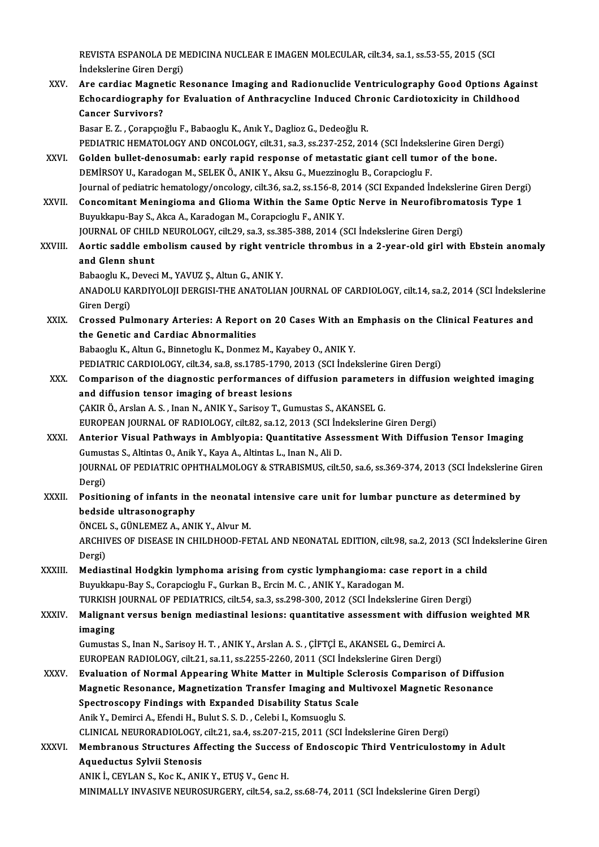REVISTA ESPANOLA DE MEDICINA NUCLEAR E IMAGEN MOLECULAR, cilt.34, sa.1, ss.53-55, 2015 (SCI<br>Indekslerine Ciren Dergi) REVISTA ESPANOLA DE M<br>İndekslerine Giren Dergi)<br>Are cardiae Magnetie B

İndekslerine Giren Dergi)<br>XXV. Are cardiac Magnetic Resonance Imaging and Radionuclide Ventriculography Good Options Against İndekslerine Giren Dergi)<br>Are cardiac Magnetic Resonance Imaging and Radionuclide Ventriculography Good Options Agai<br>Echocardiography for Evaluation of Anthracycline Induced Chronic Cardiotoxicity in Childhood<br>Caneer Survi Are cardiac Magne<br>Echocardiography<br>Cancer Survivors?<br>Pasar E 7 (Carancio Echocardiography for Evaluation of Anthracycline Induced Chr<br>Cancer Survivors?<br>Basar E. Z. , Çorapçıoğlu F., Babaoglu K., Anık Y., Daglioz G., Dedeoğlu R.<br>PEDIATPIC HEMATOLOCY AND ONCOLOCY silt 31, sa 3, sa 337, 352, 303 Cancer Survivors?<br>Basar E. Z. , Çorapçıoğlu F., Babaoglu K., Anık Y., Daglioz G., Dedeoğlu R.<br>PEDIATRIC HEMATOLOGY AND ONCOLOGY, cilt.31, sa.3, ss.237-252, 2014 (SCI İndekslerine Giren Dergi)<br>Celden bullet denesumabı early

- Basar E. Z., Çorapçıoğlu F., Babaoglu K., Anık Y., Daglioz G., Dedeoğlu R.<br>PEDIATRIC HEMATOLOGY AND ONCOLOGY, cilt.31, sa.3, ss.237-252, 2014 (SCI İndekslerine Giren Derg<br>XXVI. Golden bullet-denosumab: early rapid response PEDIATRIC HEMATOLOGY AND ONCOLOGY, cilt.31, sa.3, ss.237-252, 2014 (SCI İndeksle<br>Golden bullet-denosumab: early rapid response of metastatic giant cell tumo<br>DEMİRSOY U., Karadogan M., SELEK Ö., ANIK Y., Aksu G., Muezzinogl Golden bullet-denosumab: early rapid response of metastatic giant cell tumor of the bone.<br>DEMİRSOY U., Karadogan M., SELEK Ö., ANIK Y., Aksu G., Muezzinoglu B., Corapcioglu F.<br>Journal of pediatric hematology/oncology, cilt DEMIRSOY U., Karadogan M., SELEK Ö., ANIK Y., Aksu G., Muezzinoglu B., Corapcioglu F.<br>Journal of pediatric hematology/oncology, cilt.36, sa.2, ss.156-8, 2014 (SCI Expanded Indekslerine Giren Derg<br>XXVII. Concomitant Meningi
- Journal of pediatric hematology/oncology, cilt.36, sa.2, ss.156-8, 2<br>Concomitant Meningioma and Glioma Within the Same Op<br>Buyukkapu-Bay S., Akca A., Karadogan M., Corapcioglu F., ANIK Y.<br>JOUPNAL OF CHU D NEUBOLOCY, silt 29 Concomitant Meningioma and Glioma Within the Same Optic Nerve in Neurofibromatosis Type 1<br>Buyukkapu-Bay S., Akca A., Karadogan M., Corapcioglu F., ANIK Y.<br>JOURNAL OF CHILD NEUROLOGY, cilt.29, sa.3, ss.385-388, 2014 (SCI İn

Buyukkapu-Bay S., Akca A., Karadogan M., Corapcioglu F., ANIK Y.<br>JOURNAL OF CHILD NEUROLOGY, cilt.29, sa.3, ss.385-388, 2014 (SCI İndekslerine Giren Dergi)<br>XXVIII. Aortic saddle embolism caused by right ventricle throm **JOURNAL OF CHILL<br>Aortic saddle em<br>and Glenn shunt**<br>Babaaglu K. Davaa Aortic saddle embolism caused by right vent<br>and Glenn shunt<br>Babaoglu K., Deveci M., YAVUZ Ş., Altun G., ANIK Y.<br>ANADOLU KARDIYOLOU DERCISLTHE ANATOLIAL

and Glenn shunt<br>Babaoglu K., Deveci M., YAVUZ Ş., Altun G., ANIK Y.<br>ANADOLU KARDIYOLOJI DERGISI-THE ANATOLIAN JOURNAL OF CARDIOLOGY, cilt.14, sa.2, 2014 (SCI İndekslerine<br>Giren Dergi) Babaoglu K., Deveci M., YAVUZ Ş., Altun G., ANIK Y. ANADOLU KARDIYOLOJI DERGISI-THE ANATOLIAN JOURNAL OF CARDIOLOGY, cilt.14, sa.2, 2014 (SCI İndeksleri<br>Giren Dergi)<br>XXIX. Crossed Pulmonary Arteries: A Report on 20 Cases With an Emphasis on the Clinical Features and<br>the Con

Giren Dergi)<br>Crossed Pulmonary Arteries: A Report<br>the Genetic and Cardiac Abnormalities<br>Beheegh: K. Altur G. Binnetegh: K. Denmer Crossed Pulmonary Arteries: A Report on 20 Cases With an<br>the Genetic and Cardiac Abnormalities<br>Babaoglu K., Altun G., Binnetoglu K., Donmez M., Kayabey O., ANIK Y.<br>PEDIATRIC CARDIOLOCY silt 34, sa 8, ss 1795–1790, 2012 (SC the Genetic and Cardiac Abnormalities<br>Babaoglu K., Altun G., Binnetoglu K., Donmez M., Kayabey O., ANIK Y.<br>PEDIATRIC CARDIOLOGY, cilt.34, sa.8, ss.1785-1790, 2013 (SCI İndekslerine Giren Dergi)

Babaoglu K., Altun G., Binnetoglu K., Donmez M., Kayabey O., ANIK Y.<br>PEDIATRIC CARDIOLOGY, cilt.34, sa.8, ss.1785-1790, 2013 (SCI İndekslerine Giren Dergi)<br>XXX. Comparison of the diagnostic performances of diffusion parame PEDIATRIC CARDIOLOGY, cilt.34, sa.8, ss.1785-1790,<br>Comparison of the diagnostic performances of<br>and diffusion tensor imaging of breast lesions<br>CAKIB Ö. Arslan A.S., Jran N. ANIK V. Sarisov T. Cu Comparison of the diagnostic performances of diffusion parameter<br>and diffusion tensor imaging of breast lesions<br>ÇAKIR Ö., Arslan A. S. , Inan N., ANIK Y., Sarisoy T., Gumustas S., AKANSEL G.<br>FUROPEAN JOURNAL OF RADIOLOCY s and diffusion tensor imaging of breast lesions<br>ÇAKIR Ö., Arslan A. S. , Inan N., ANIK Y., Sarisoy T., Gumustas S., AKANSEL G.<br>EUROPEAN JOURNAL OF RADIOLOGY, cilt.82, sa.12, 2013 (SCI İndekslerine Giren Dergi)<br>Anterior Visu

- CAKIR Ö., Arslan A. S. , Inan N., ANIK Y., Sarisoy T., Gumustas S., AKANSEL G.<br>EUROPEAN JOURNAL OF RADIOLOGY, cilt.82, sa.12, 2013 (SCI İndekslerine Giren Dergi)<br>XXXI. Anterior Visual Pathways in Amblyopia: Quantitativ EUROPEAN JOURNAL OF RADIOLOGY, cilt.82, sa.12, 2013 (SCI Inc<br>Anterior Visual Pathways in Amblyopia: Quantitative Asse<br>Gumustas S., Altintas O., Anik Y., Kaya A., Altintas L., Inan N., Ali D.<br>JOURNAL OF REDIATRIC ORUTHAL MO Anterior Visual Pathways in Amblyopia: Quantitative Assessment With Diffusion Tensor Imaging<br>Gumustas S., Altintas O., Anik Y., Kaya A., Altintas L., Inan N., Ali D.<br>JOURNAL OF PEDIATRIC OPHTHALMOLOGY & STRABISMUS, cilt.50 Gumus<br>JOURN<br>Dergi)<br>Positic JOURNAL OF PEDIATRIC OPHTHALMOLOGY & STRABISMUS, cilt.50, sa.6, ss.369-374, 2013 (SCI İndekslerine C<br>Dergi)<br>XXXII. Positioning of infants in the neonatal intensive care unit for lumbar puncture as determined by<br>hodside ult
- Dergi)<br>Positioning of infants in th<br>bedside ultrasonography<br>ÖNCEL S. CÜNLEMEZ A. ANI Positioning of infants in the neonatal<br>bedside ultrasonography<br>ÖNCEL S., GÜNLEMEZ A., ANIK Y., Alvur M.<br>ARCUIVES OF DISEASE IN CUILDHOOD EE

bedside ultrasonography<br>ÖNCEL S., GÜNLEMEZ A., ANIK Y., Alvur M.<br>ARCHIVES OF DISEASE IN CHILDHOOD-FETAL AND NEONATAL EDITION, cilt.98, sa.2, 2013 (SCI İndekslerine Giren ÖNCEL S., GÜNLEMEZ A., ANIK Y., Alvur M.<br>ARCHIVES OF DISEASE IN CHILDHOOD-FE<br>Dergi) ARCHIVES OF DISEASE IN CHILDHOOD-FETAL AND NEONATAL EDITION, cilt.98, sa.2, 2013 (SCI inde<br>Dergi)<br>XXXIII. Mediastinal Hodgkin lymphoma arising from cystic lymphangioma: case report in a child<br>Burnitiony Boy & Conongiogly E

Mediastinal Hodgkin lymphoma arising from cystic lymphangioma: case report in a child<br>Buyukkapu-Bay S., Corapcioglu F., Gurkan B., Ercin M. C., ANIK Y., Karadogan M. Mediastinal Hodgkin lymphoma arising from cystic lymphangioma: case report in a ch<br>Buyukkapu-Bay S., Corapcioglu F., Gurkan B., Ercin M. C. , ANIK Y., Karadogan M.<br>TURKISH JOURNAL OF PEDIATRICS, cilt.54, sa.3, ss.298-300,

XXXIV. Malignant versus benign mediastinal lesions: quantitative assessment with diffusion weighted MR imaging TURKISH<br>Malignar<br>imaging<br><sup>Cumustos</sup> Malignant versus benign mediastinal lesions: quantitative assessment with diffu<br>imaging<br>Gumustas S., Inan N., Sarisoy H. T. , ANIK Y., Arslan A. S. , ÇİFTÇİ E., AKANSEL G., Demirci A.<br>FUROPEAN RADIQLOCY, silt 21, S. 211, S

i<mark>maging</mark><br>Gumustas S., Inan N., Sarisoy H. T. , ANIK Y., Arslan A. S. , ÇİFTÇİ E., AKANSEL G., Demirci A.<br>EUROPEAN RADIOLOGY, cilt.21, sa.11, ss.2255-2260, 2011 (SCI İndekslerine Giren Dergi)<br>Fyalustion of Normal Annearing Gumustas S., Inan N., Sarisoy H. T. , ANIK Y., Arslan A. S. , ÇİFTÇİ E., AKANSEL G., Demirci A.<br>EUROPEAN RADIOLOGY, cilt.21, sa.11, ss.2255-2260, 2011 (SCI İndekslerine Giren Dergi)<br>XXXV. Evaluation of Normal Appearing Whi

EUROPEAN RADIOLOGY, cilt.21, sa.11, ss.2255-2260, 2011 (SCI İndekslerine Giren Dergi)<br>Evaluation of Normal Appearing White Matter in Multiple Sclerosis Comparison of Diffusio<br>Magnetic Resonance, Magnetization Transfer Imag Evaluation of Normal Appearing White Matter in Multiple Sch<br>Magnetic Resonance, Magnetization Transfer Imaging and Mu<br>Spectroscopy Findings with Expanded Disability Status Scale<br>Anik Y. Domingi A. Efondi H. Bulut S.S.D. Co Magnetic Resonance, Magnetization Transfer Imaging and<br>Spectroscopy Findings with Expanded Disability Status Sc:<br>Anik Y., Demirci A., Efendi H., Bulut S. S. D. , Celebi I., Komsuoglu S.<br>CLINICAL NEURORADIOLOGY gilt 21, se Spectroscopy Findings with Expanded Disability Status Scale<br>Anik Y., Demirci A., Efendi H., Bulut S. S. D. , Celebi I., Komsuoglu S.<br>CLINICAL NEURORADIOLOGY, cilt.21, sa.4, ss.207-215, 2011 (SCI İndekslerine Giren Dergi) Anik Y., Demirci A., Efendi H., Bulut S. S. D. , Celebi I., Komsuoglu S.<br>CLINICAL NEURORADIOLOGY, cilt.21, sa.4, ss.207-215, 2011 (SCI İndekslerine Giren Dergi)<br>XXXVI. Membranous Structures Affecting the Success of Endosco

CLINICAL NEURORADIOLOGY,<br>Membranous Structures Af.<br>Aqueductus Sylvii Stenosis Membranous Structures Affecting the Success<br>Aqueductus Sylvii Stenosis<br>ANIK İ., CEYLAN S., Koc K., ANIK Y., ETUŞ V., Genc H.<br>MINIMALLY INVASIVE NEUPOSUPCEPY, silt 54, 88,2

Aqueductus Sylvii Stenosis<br>ANIK İ., CEYLAN S., Koc K., ANIK Y., ETUŞ V., Genc H.<br>MINIMALLY INVASIVE NEUROSURGERY, cilt.54, sa.2, ss.68-74, 2011 (SCI İndekslerine Giren Dergi)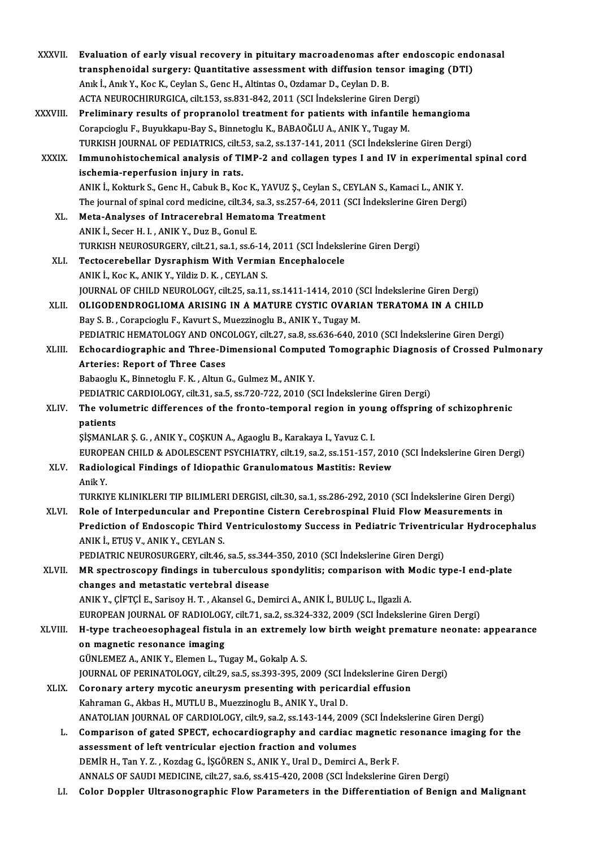| <b>XXXVII</b> | Evaluation of early visual recovery in pituitary macroadenomas after endoscopic endonasal                                                                                            |
|---------------|--------------------------------------------------------------------------------------------------------------------------------------------------------------------------------------|
|               | transphenoidal surgery: Quantitative assessment with diffusion tensor imaging (DTI)                                                                                                  |
|               | Anık İ., Anık Y., Koc K., Ceylan S., Genc H., Altintas O., Ozdamar D., Ceylan D. B.                                                                                                  |
|               | ACTA NEUROCHIRURGICA, cilt.153, ss.831-842, 2011 (SCI İndekslerine Giren Dergi)                                                                                                      |
| XXXVIII.      | Preliminary results of propranolol treatment for patients with infantile hemangioma                                                                                                  |
|               | Corapcioglu F., Buyukkapu-Bay S., Binnetoglu K., BABAOĞLU A., ANIK Y., Tugay M.                                                                                                      |
|               | TURKISH JOURNAL OF PEDIATRICS, cilt.53, sa.2, ss.137-141, 2011 (SCI İndekslerine Giren Dergi)                                                                                        |
| <b>XXXIX</b>  | Immunohistochemical analysis of TIMP-2 and collagen types I and IV in experimental spinal cord<br>ischemia-reperfusion injury in rats.                                               |
|               | ANIK I., Kokturk S., Genc H., Cabuk B., Koc K., YAVUZ Ş., Ceylan S., CEYLAN S., Kamaci L., ANIK Y.                                                                                   |
|               | The journal of spinal cord medicine, cilt.34, sa.3, ss.257-64, 2011 (SCI Indekslerine Giren Dergi)                                                                                   |
| XL.           | Meta-Analyses of Intracerebral Hematoma Treatment                                                                                                                                    |
|               | ANIK İ., Secer H. I., ANIK Y., Duz B., Gonul E.                                                                                                                                      |
|               |                                                                                                                                                                                      |
|               | TURKISH NEUROSURGERY, cilt.21, sa.1, ss.6-14, 2011 (SCI Indekslerine Giren Dergi)                                                                                                    |
| XLI.          | Tectocerebellar Dysraphism With Vermian Encephalocele                                                                                                                                |
|               | ANIK İ., Koc K., ANIK Y., Yildiz D. K., CEYLAN S.                                                                                                                                    |
|               | JOURNAL OF CHILD NEUROLOGY, cilt.25, sa.11, ss.1411-1414, 2010 (SCI Indekslerine Giren Dergi)<br>OLIGODENDROGLIOMA ARISING IN A MATURE CYSTIC OVARIAN TERATOMA IN A CHILD            |
| XLII.         |                                                                                                                                                                                      |
|               | Bay S. B., Corapcioglu F., Kavurt S., Muezzinoglu B., ANIK Y., Tugay M.                                                                                                              |
|               | PEDIATRIC HEMATOLOGY AND ONCOLOGY, cilt.27, sa.8, ss.636-640, 2010 (SCI İndekslerine Giren Dergi)                                                                                    |
| XLIII.        | Echocardiographic and Three-Dimensional Computed Tomographic Diagnosis of Crossed Pulmonary                                                                                          |
|               | <b>Arteries: Report of Three Cases</b>                                                                                                                                               |
|               | Babaoglu K., Binnetoglu F. K., Altun G., Gulmez M., ANIK Y.                                                                                                                          |
| XLIV.         | PEDIATRIC CARDIOLOGY, cilt.31, sa.5, ss.720-722, 2010 (SCI Indekslerine Giren Dergi)<br>The volumetric differences of the fronto-temporal region in young offspring of schizophrenic |
|               | patients                                                                                                                                                                             |
|               | ŞİŞMANLAR Ş. G., ANIK Y., COŞKUN A., Agaoglu B., Karakaya I., Yavuz C. I.                                                                                                            |
|               | EUROPEAN CHILD & ADOLESCENT PSYCHIATRY, cilt.19, sa.2, ss.151-157, 2010 (SCI İndekslerine Giren Dergi)                                                                               |
|               | Radiological Findings of Idiopathic Granulomatous Mastitis: Review                                                                                                                   |
| XLV.          | Anik Y                                                                                                                                                                               |
|               | TURKIYE KLINIKLERI TIP BILIMLERI DERGISI, cilt.30, sa.1, ss.286-292, 2010 (SCI İndekslerine Giren Dergi)                                                                             |
| XLVI.         | Role of Interpeduncular and Prepontine Cistern Cerebrospinal Fluid Flow Measurements in                                                                                              |
|               | Prediction of Endoscopic Third Ventriculostomy Success in Pediatric Triventricular Hydrocephalus                                                                                     |
|               | ANIK İ., ETUŞ V., ANIK Y., CEYLAN S.                                                                                                                                                 |
|               | PEDIATRIC NEUROSURGERY, cilt.46, sa.5, ss.344-350, 2010 (SCI Indekslerine Giren Dergi)                                                                                               |
|               | MR spectroscopy findings in tuberculous spondylitis; comparison with Modic type-I end-plate                                                                                          |
| XLVII.        | changes and metastatic vertebral disease                                                                                                                                             |
|               | ANIK Y., ÇİFTÇİ E., Sarisoy H. T. , Akansel G., Demirci A., ANIK İ., BULUÇ L., Ilgazli A.                                                                                            |
|               | EUROPEAN JOURNAL OF RADIOLOGY, cilt.71, sa.2, ss.324-332, 2009 (SCI İndekslerine Giren Dergi)                                                                                        |
| <b>XLVIII</b> | H-type tracheoesophageal fistula in an extremely low birth weight premature neonate: appearance                                                                                      |
|               | on magnetic resonance imaging                                                                                                                                                        |
|               | GÜNLEMEZ A., ANIK Y., Elemen L., Tugay M., Gokalp A. S.                                                                                                                              |
|               | JOURNAL OF PERINATOLOGY, cilt.29, sa.5, ss.393-395, 2009 (SCI Indekslerine Giren Dergi)                                                                                              |
| XLIX.         | Coronary artery mycotic aneurysm presenting with pericardial effusion                                                                                                                |
|               |                                                                                                                                                                                      |
|               | Kahraman G., Akbas H., MUTLU B., Muezzinoglu B., ANIK Y., Ural D.                                                                                                                    |
|               | ANATOLIAN JOURNAL OF CARDIOLOGY, cilt.9, sa.2, ss.143-144, 2009 (SCI İndekslerine Giren Dergi)                                                                                       |
| L.            | Comparison of gated SPECT, echocardiography and cardiac magnetic resonance imaging for the                                                                                           |
|               | assessment of left ventricular ejection fraction and volumes<br>DEMİR H., Tan Y. Z., Kozdag G., İŞGÖREN S., ANIK Y., Ural D., Demirci A., Berk F.                                    |
|               | ANNALS OF SAUDI MEDICINE, cilt.27, sa.6, ss.415-420, 2008 (SCI Indekslerine Giren Dergi)                                                                                             |
| LI.           | Color Doppler Ultrasonographic Flow Parameters in the Differentiation of Benign and Malignant                                                                                        |
|               |                                                                                                                                                                                      |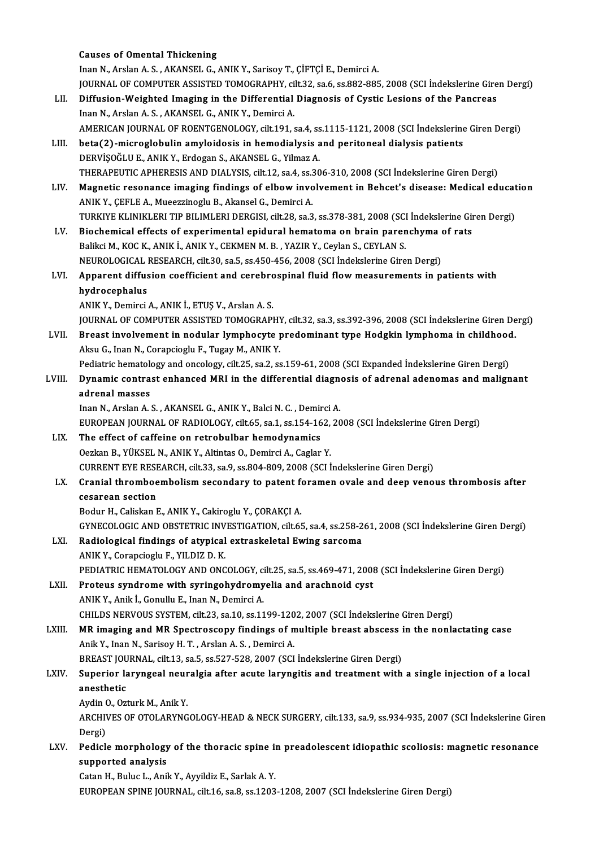|        | <b>Causes of Omental Thickening</b>                                                                                                                                      |
|--------|--------------------------------------------------------------------------------------------------------------------------------------------------------------------------|
|        | Inan N., Arslan A. S., AKANSEL G., ANIK Y., Sarisoy T., ÇİFTÇİ E., Demirci A.                                                                                            |
|        | JOURNAL OF COMPUTER ASSISTED TOMOGRAPHY, cilt.32, sa.6, ss.882-885, 2008 (SCI Indekslerine Giren Dergi)                                                                  |
| LII.   | Diffusion-Weighted Imaging in the Differential Diagnosis of Cystic Lesions of the Pancreas                                                                               |
|        | Inan N., Arslan A. S., AKANSEL G., ANIK Y., Demirci A.                                                                                                                   |
|        | AMERICAN JOURNAL OF ROENTGENOLOGY, cilt.191, sa.4, ss.1115-1121, 2008 (SCI İndekslerine Giren Dergi)                                                                     |
| LIII.  | beta(2)-microglobulin amyloidosis in hemodialysis and peritoneal dialysis patients                                                                                       |
|        | DERVİŞOĞLU E., ANIK Y., Erdogan S., AKANSEL G., Yilmaz A.                                                                                                                |
|        | THERAPEUTIC APHERESIS AND DIALYSIS, cilt.12, sa.4, ss.306-310, 2008 (SCI Indekslerine Giren Dergi)                                                                       |
| LIV.   | Magnetic resonance imaging findings of elbow involvement in Behcet's disease: Medical education                                                                          |
|        | ANIK Y., ÇEFLE A., Mueezzinoglu B., Akansel G., Demirci A.                                                                                                               |
|        | TURKIYE KLINIKLERI TIP BILIMLERI DERGISI, cilt.28, sa.3, ss.378-381, 2008 (SCI İndekslerine Giren Dergi)                                                                 |
| LV.    | Biochemical effects of experimental epidural hematoma on brain parenchyma of rats                                                                                        |
|        | Balikci M., KOC K., ANIK İ., ANIK Y., CEKMEN M. B., YAZIR Y., Ceylan S., CEYLAN S.                                                                                       |
|        | NEUROLOGICAL RESEARCH, cilt.30, sa.5, ss.450-456, 2008 (SCI Indekslerine Giren Dergi)                                                                                    |
| LVI.   | Apparent diffusion coefficient and cerebrospinal fluid flow measurements in patients with                                                                                |
|        | hydrocephalus                                                                                                                                                            |
|        | ANIK Y., Demirci A., ANIK I., ETUS V., Arslan A. S.                                                                                                                      |
|        | JOURNAL OF COMPUTER ASSISTED TOMOGRAPHY, cilt.32, sa.3, ss.392-396, 2008 (SCI Indekslerine Giren Dergi)                                                                  |
| LVII.  | Breast involvement in nodular lymphocyte predominant type Hodgkin lymphoma in childhood.                                                                                 |
|        | Aksu G., Inan N., Corapcioglu F., Tugay M., ANIK Y.                                                                                                                      |
|        | Pediatric hematology and oncology, cilt.25, sa.2, ss.159-61, 2008 (SCI Expanded Indekslerine Giren Dergi)                                                                |
| LVIII. | Dynamic contrast enhanced MRI in the differential diagnosis of adrenal adenomas and malignant                                                                            |
|        | adrenal masses                                                                                                                                                           |
|        | Inan N., Arslan A. S., AKANSEL G., ANIK Y., Balci N. C., Demirci A.                                                                                                      |
|        | EUROPEAN JOURNAL OF RADIOLOGY, cilt.65, sa.1, ss.154-162, 2008 (SCI İndekslerine Giren Dergi)                                                                            |
| LIX.   | The effect of caffeine on retrobulbar hemodynamics                                                                                                                       |
|        | Oezkan B., YÜKSEL N., ANIK Y., Altintas O., Demirci A., Caglar Y.                                                                                                        |
|        | CURRENT EYE RESEARCH, cilt.33, sa.9, ss.804-809, 2008 (SCI Indekslerine Giren Dergi)                                                                                     |
| LX.    | Cranial thromboembolism secondary to patent foramen ovale and deep venous thrombosis after                                                                               |
|        | cesarean section                                                                                                                                                         |
|        | Bodur H., Caliskan E., ANIK Y., Cakiroglu Y., ÇORAKÇI A.                                                                                                                 |
|        | GYNECOLOGIC AND OBSTETRIC INVESTIGATION, cilt.65, sa.4, ss.258-261, 2008 (SCI İndekslerine Giren Dergi)<br>Radiological findings of atypical extraskeletal Ewing sarcoma |
| LXI.   | ANIK Y., Corapcioglu F., YILDIZ D. K.                                                                                                                                    |
|        | PEDIATRIC HEMATOLOGY AND ONCOLOGY, cilt.25, sa.5, ss.469-471, 2008 (SCI İndekslerine Giren Dergi)                                                                        |
| LXII.  | Proteus syndrome with syringohydromyelia and arachnoid cyst                                                                                                              |
|        | ANIK Y., Anik İ., Gonullu E., Inan N., Demirci A.                                                                                                                        |
|        | CHILDS NERVOUS SYSTEM, cilt.23, sa.10, ss.1199-1202, 2007 (SCI İndekslerine Giren Dergi)                                                                                 |
| LXIII. | MR imaging and MR Spectroscopy findings of multiple breast abscess in the nonlactating case                                                                              |
|        | Anik Y., Inan N., Sarisoy H. T., Arslan A. S., Demirci A.                                                                                                                |
|        | BREAST JOURNAL, cilt.13, sa.5, ss.527-528, 2007 (SCI Indekslerine Giren Dergi)                                                                                           |
| LXIV.  | Superior laryngeal neuralgia after acute laryngitis and treatment with a single injection of a local                                                                     |
|        | anesthetic                                                                                                                                                               |
|        | Aydin O, Ozturk M, Anik Y.                                                                                                                                               |
|        | ARCHIVES OF OTOLARYNGOLOGY-HEAD & NECK SURGERY, cilt.133, sa.9, ss.934-935, 2007 (SCI İndekslerine Giren                                                                 |
|        | Dergi)                                                                                                                                                                   |
| LXV.   | Pedicle morphology of the thoracic spine in preadolescent idiopathic scoliosis: magnetic resonance                                                                       |
|        | supported analysis                                                                                                                                                       |
|        | Catan H., Buluc L., Anik Y., Ayyildiz E., Sarlak A.Y.                                                                                                                    |
|        | EUROPEAN SPINE JOURNAL, cilt.16, sa.8, ss.1203-1208, 2007 (SCI Indekslerine Giren Dergi)                                                                                 |
|        |                                                                                                                                                                          |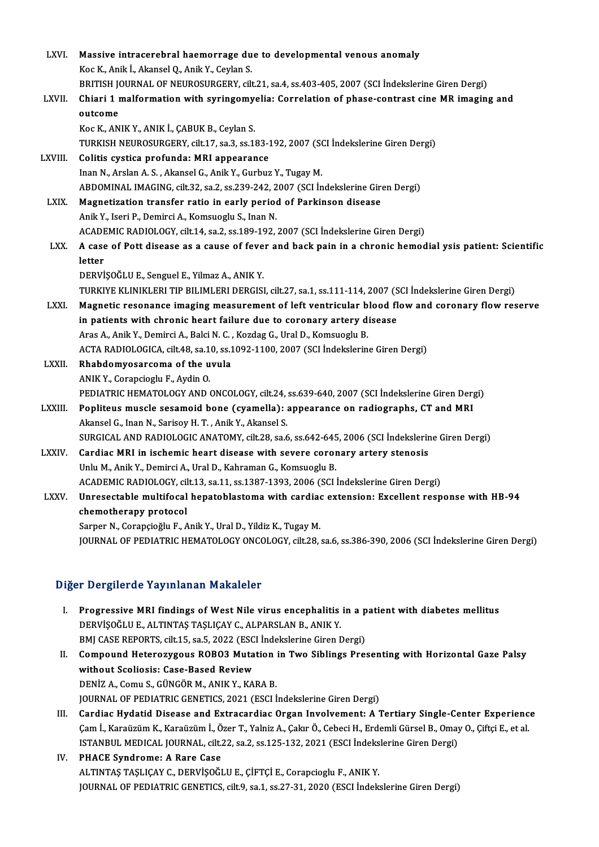| LXVI.         | Massive intracerebral haemorrage due to developmental venous anomaly                                                                                      |
|---------------|-----------------------------------------------------------------------------------------------------------------------------------------------------------|
|               | Koc K., Anik İ., Akansel Q., Anik Y., Ceylan S.                                                                                                           |
|               | BRITISH JOURNAL OF NEUROSURGERY, cilt.21, sa.4, ss.403-405, 2007 (SCI Indekslerine Giren Dergi)                                                           |
| LXVII.        | Chiari 1 malformation with syringomyelia: Correlation of phase-contrast cine MR imaging and                                                               |
|               | outcome                                                                                                                                                   |
|               | Koc K., ANIK Y., ANIK İ., ÇABUK B., Ceylan S.                                                                                                             |
|               | TURKISH NEUROSURGERY, cilt.17, sa.3, ss.183-192, 2007 (SCI İndekslerine Giren Dergi)                                                                      |
| LXVIII.       | Colitis cystica profunda: MRI appearance                                                                                                                  |
|               | Inan N., Arslan A. S., Akansel G., Anik Y., Gurbuz Y., Tugay M.                                                                                           |
|               | ABDOMINAL IMAGING, cilt.32, sa.2, ss.239-242, 2007 (SCI İndekslerine Giren Dergi)                                                                         |
| LXIX.         | Magnetization transfer ratio in early period of Parkinson disease                                                                                         |
|               | Anik Y., Iseri P., Demirci A., Komsuoglu S., Inan N.                                                                                                      |
|               | ACADEMIC RADIOLOGY, cilt.14, sa.2, ss.189-192, 2007 (SCI İndekslerine Giren Dergi)                                                                        |
| LXX.          | A case of Pott disease as a cause of fever and back pain in a chronic hemodial ysis patient: Scientific                                                   |
|               | letter                                                                                                                                                    |
|               | DERVİŞOĞLU E., Senguel E., Yilmaz A., ANIK Y.                                                                                                             |
|               | TURKIYE KLINIKLERI TIP BILIMLERI DERGISI, cilt.27, sa.1, ss.111-114, 2007 (SCI İndekslerine Giren Dergi)                                                  |
| LXXI.         | Magnetic resonance imaging measurement of left ventricular blood flow and coronary flow reserve                                                           |
|               | in patients with chronic heart failure due to coronary artery disease                                                                                     |
|               | Aras A., Anik Y., Demirci A., Balci N. C., Kozdag G., Ural D., Komsuoglu B.                                                                               |
|               | ACTA RADIOLOGICA, cilt.48, sa.10, ss.1092-1100, 2007 (SCI Indekslerine Giren Dergi)                                                                       |
| LXXII.        | Rhabdomyosarcoma of the uvula                                                                                                                             |
|               | ANIK Y., Corapcioglu F., Aydin O.                                                                                                                         |
|               | PEDIATRIC HEMATOLOGY AND ONCOLOGY, cilt.24, ss.639-640, 2007 (SCI İndekslerine Giren Dergi)                                                               |
| <b>LXXIII</b> | Popliteus muscle sesamoid bone (cyamella): appearance on radiographs, CT and MRI                                                                          |
|               | Akansel G., Inan N., Sarisoy H. T., Anik Y., Akansel S.                                                                                                   |
|               | SURGICAL AND RADIOLOGIC ANATOMY, cilt.28, sa.6, ss.642-645, 2006 (SCI İndekslerine Giren Dergi)                                                           |
| <b>LXXIV</b>  | Cardiac MRI in ischemic heart disease with severe coronary artery stenosis                                                                                |
|               | Unlu M., Anik Y., Demirci A., Ural D., Kahraman G., Komsuoglu B.<br>ACADEMIC RADIOLOGY, cilt.13, sa.11, ss.1387-1393, 2006 (SCI Indekslerine Giren Dergi) |
|               | Unresectable multifocal hepatoblastoma with cardiac extension: Excellent response with HB-94                                                              |
| <b>LXXV</b>   | chemotherapy protocol                                                                                                                                     |
|               | Sarper N., Corapçioğlu F., Anik Y., Ural D., Yildiz K., Tugay M.                                                                                          |
|               | JOURNAL OF PEDIATRIC HEMATOLOGY ONCOLOGY, cilt.28, sa.6, ss.386-390, 2006 (SCI Indekslerine Giren Dergi)                                                  |
|               |                                                                                                                                                           |

### Diğer Dergilerde Yayınlanan Makaleler

- Iger Dergilerde Yayınlanan Makaleler<br>I. Progressive MRI findings of West Nile virus encephalitis in a patient with diabetes mellitus<br>REPVISOČLU E. ALTINTAS TASLICAV C. ALPARSLAN R. ANIK V Progressive MRI findings of West Nile virus encephalitis<br>DERVİŞOĞLUE., ALTINTAŞ TAŞLIÇAY C., ALPARSLAN B., ANIK Y.<br>PMI CASE REPORTS, silt 15, ss. 5, 2022 (ESCI İndekslerine Giren F Progressive MRI findings of West Nile virus encephalitis in a p<br>DERVİŞOĞLU E., ALTINTAŞ TAŞLIÇAY C., ALPARSLAN B., ANIK Y.<br>BMJ CASE REPORTS, cilt.15, sa.5, 2022 (ESCI İndekslerine Giren Dergi)<br>Campaund Hataragygaye BOBO? M DERVİŞOĞLU E., ALTINTAŞ TAŞLIÇAY C., ALPARSLAN B., ANIK Y.<br>BMJ CASE REPORTS, cilt.15, sa.5, 2022 (ESCI İndekslerine Giren Dergi)<br>II. Compound Heterozygous ROBO3 Mutation in Two Siblings Presenting with Horizontal Gaze
- BMJ CASE REPORTS, cilt.15, sa.5, 2022 (ESC<br>Compound Heterozygous ROBO3 Muta<br>without Scoliosis: Case-Based Review<br>PEN<sup>iz</sup> A. Comu S. SÜNCÖB M. ANIK V. KA without Scoliosis: Case-Based Review<br>DENİZ A., Comu S., GÜNGÖR M., ANIK Y., KARA B. JOURNAL OF PEDIATRIC GENETICS, 2021 (ESCI İndekslerine Giren Dergi) DENİZ A., Comu S., GÜNGÖR M., ANIK Y., KARA B.<br>JOURNAL OF PEDIATRIC GENETICS, 2021 (ESCI İndekslerine Giren Dergi)<br>III. Cardiac Hydatid Disease and Extracardiac Organ Involvement: A Tertiary Single-Center Experience<br>Com L.
- JOURNAL OF PEDIATRIC GENETICS, 2021 (ESCI İndekslerine Giren Dergi)<br>Cardiac Hydatid Disease and Extracardiac Organ Involvement: A Tertiary Single-Center Experienc<br>Çam İ., Karaüzüm K., Karaüzüm İ., Özer T., Yalniz A., Çakır Çam İ., Karaüzüm K., Karaüzüm İ., Özer T., Yalniz A., Çakır Ö., Cebeci H., Erdemli Gürsel B., Omay O., Çiftçi E., et al.<br>ISTANBUL MEDICAL JOURNAL, cilt.22, sa.2, ss.125-132, 2021 (ESCI İndekslerine Giren Dergi)
- IV. PHACE Syndrome: A Rare Case ALTINTAŞ TAŞLIÇAY C., DERVİŞOĞLU E., ÇİFTÇİ E., Corapcioglu F., ANIK Y. JOURNAL OF PEDIATRIC GENETICS, cilt.9, sa.1, ss.27-31, 2020 (ESCI İndekslerine Giren Dergi)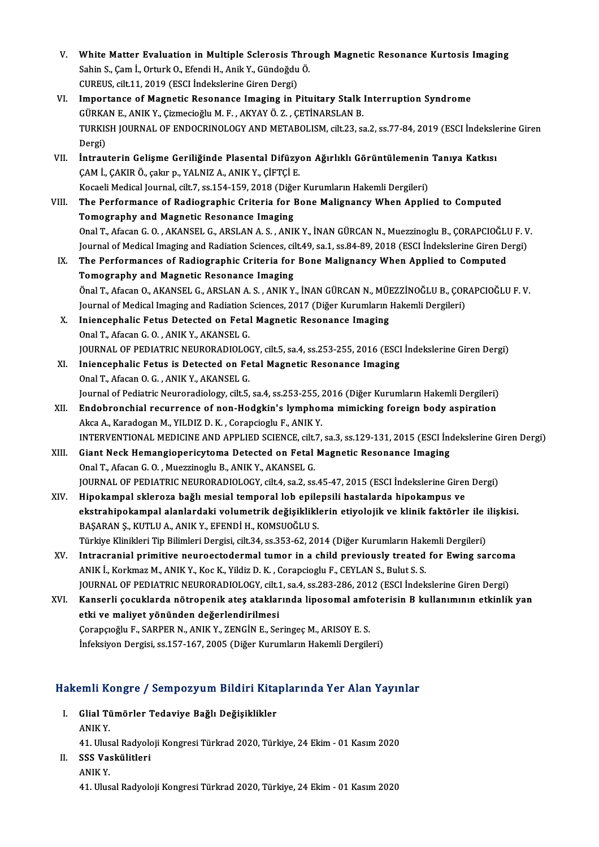| V.    | White Matter Evaluation in Multiple Sclerosis Through Magnetic Resonance Kurtosis Imaging<br>Sahin S., Çam İ., Orturk O., Efendi H., Anik Y., Gündoğdu Ö. |
|-------|-----------------------------------------------------------------------------------------------------------------------------------------------------------|
|       | CUREUS, cilt.11, 2019 (ESCI İndekslerine Giren Dergi)                                                                                                     |
| VI.   | Importance of Magnetic Resonance Imaging in Pituitary Stalk Interruption Syndrome                                                                         |
|       | GÜRKAN E., ANIK Y., Çizmecioğlu M. F., AKYAY Ö. Z., ÇETİNARSLAN B.                                                                                        |
|       | TURKISH JOURNAL OF ENDOCRINOLOGY AND METABOLISM, cilt.23, sa.2, ss.77-84, 2019 (ESCI İndekslerine Giren<br>Dergi)                                         |
| VII.  | İntrauterin Gelişme Geriliğinde Plasental Difüzyon Ağırlıklı Görüntülemenin Tanıya Katkısı<br>ÇAM İ., ÇAKIR Ö., çakır p., YALNIZ A., ANIK Y., ÇİFTÇİ E.   |
|       | Kocaeli Medical Journal, cilt.7, ss.154-159, 2018 (Diğer Kurumların Hakemli Dergileri)                                                                    |
| VIII. | The Performance of Radiographic Criteria for Bone Malignancy When Applied to Computed                                                                     |
|       | Tomography and Magnetic Resonance Imaging                                                                                                                 |
|       | Onal T., Afacan G. O., AKANSEL G., ARSLAN A. S., ANIK Y., İNAN GÜRCAN N., Muezzinoglu B., CORAPCIOĞLU F. V.                                               |
|       | Journal of Medical Imaging and Radiation Sciences, cilt.49, sa.1, ss.84-89, 2018 (ESCI İndekslerine Giren Dergi)                                          |
| IX.   | The Performances of Radiographic Criteria for Bone Malignancy When Applied to Computed                                                                    |
|       | Tomography and Magnetic Resonance Imaging                                                                                                                 |
|       | Önal T., Afacan O., AKANSEL G., ARSLAN A. S., ANIK Y., İNAN GÜRCAN N., MÜEZZİNOĞLU B., ÇORAPCIOĞLU F. V.                                                  |
|       | Journal of Medical Imaging and Radiation Sciences, 2017 (Diğer Kurumların Hakemli Dergileri)                                                              |
| Х.    | Iniencephalic Fetus Detected on Fetal Magnetic Resonance Imaging                                                                                          |
|       | Onal T., Afacan G. O., ANIK Y., AKANSEL G.                                                                                                                |
|       | JOURNAL OF PEDIATRIC NEURORADIOLOGY, cilt.5, sa.4, ss.253-255, 2016 (ESCI Indekslerine Giren Dergi)                                                       |
| XI.   | Iniencephalic Fetus is Detected on Fetal Magnetic Resonance Imaging                                                                                       |
|       | Onal T., Afacan O. G., ANIK Y., AKANSEL G.<br>Journal of Pediatric Neuroradiology, cilt.5, sa.4, ss.253-255, 2016 (Diğer Kurumların Hakemli Dergileri)    |
| XII.  | Endobronchial recurrence of non-Hodgkin's lymphoma mimicking foreign body aspiration                                                                      |
|       | Akca A., Karadogan M., YILDIZ D. K., Corapcioglu F., ANIK Y.                                                                                              |
|       | INTERVENTIONAL MEDICINE AND APPLIED SCIENCE, cilt.7, sa.3, ss.129-131, 2015 (ESCI İndekslerine Giren Dergi)                                               |
| XIII. | Giant Neck Hemangiopericytoma Detected on Fetal Magnetic Resonance Imaging                                                                                |
|       | Onal T., Afacan G. O., Muezzinoglu B., ANIK Y., AKANSEL G.                                                                                                |
|       | JOURNAL OF PEDIATRIC NEURORADIOLOGY, cilt.4, sa.2, ss.45-47, 2015 (ESCI Indekslerine Giren Dergi)                                                         |
| XIV.  | Hipokampal skleroza bağlı mesial temporal lob epilepsili hastalarda hipokampus ve                                                                         |
|       | ekstrahipokampal alanlardaki volumetrik değişikliklerin etiyolojik ve klinik faktörler ile ilişkisi.                                                      |
|       | BAŞARAN Ş., KUTLU A., ANIK Y., EFENDİ H., KOMSUOĞLU S.                                                                                                    |
|       | Türkiye Klinikleri Tip Bilimleri Dergisi, cilt.34, ss.353-62, 2014 (Diğer Kurumların Hakemli Dergileri)                                                   |
| XV.   | Intracranial primitive neuroectodermal tumor in a child previously treated for Ewing sarcoma                                                              |
|       | ANIK I., Korkmaz M., ANIK Y., Koc K., Yildiz D. K., Corapcioglu F., CEYLAN S., Bulut S. S.                                                                |
|       | JOURNAL OF PEDIATRIC NEURORADIOLOGY, cilt.1, sa.4, ss.283-286, 2012 (ESCI İndekslerine Giren Dergi)                                                       |
| XVI.  | Kanserli çocuklarda nötropenik ateş ataklarında liposomal amfoterisin B kullanımının etkinlik yan                                                         |
|       | etki ve maliyet yönünden değerlendirilmesi                                                                                                                |
|       | Çorapçıoğlu F., SARPER N., ANIK Y., ZENGİN E., Seringeç M., ARISOY E. S.                                                                                  |
|       | İnfeksiyon Dergisi, ss.157-167, 2005 (Diğer Kurumların Hakemli Dergileri)                                                                                 |

- akemli Kongre / Sempozyum Bildiri Kita<br>I. Glial Tümörler Tedaviye Bağlı Değişiklikler<br>ANIK Y ANIK IR<br>Glial Ti<br>ANIK Y. Glial Tümörler Tedaviye Bağlı Değişiklikler<br>ANIK Y.<br>41. Ulusal Radyoloji Kongresi Türkrad 2020, Türkiye, 24 Ekim - 01 Kasım 2020<br>SSS Veskülitleri ANIK Y.<br>41. Ulusal Radyolo<br>II. SSS Vaskülitleri<br>ANIK Y.
- 41. Ulus<br>SSS Va:<br>ANIK Y.
	-

41.UlusalRadyolojiKongresiTürkrad 2020,Türkiye,24Ekim-01Kasım2020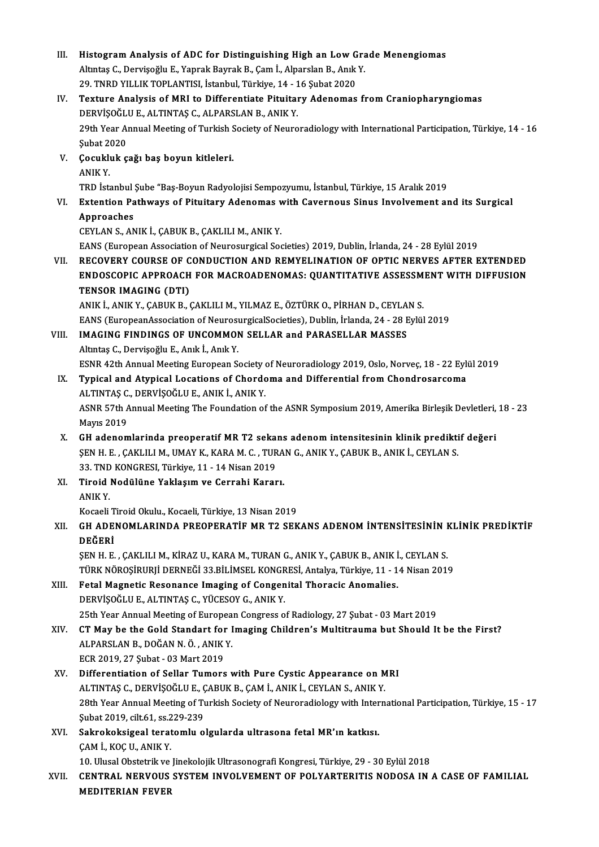| Ш.    | Histogram Analysis of ADC for Distinguishing High an Low Grade Menengiomas                                                                                                        |
|-------|-----------------------------------------------------------------------------------------------------------------------------------------------------------------------------------|
|       | Altıntaş C., Dervişoğlu E., Yaprak Bayrak B., Çam İ., Alparslan B., Anık Y.                                                                                                       |
|       | 29. TNRD YILLIK TOPLANTISI, İstanbul, Türkiye, 14 - 16 Şubat 2020                                                                                                                 |
| IV.   | Texture Analysis of MRI to Differentiate Pituitary Adenomas from Craniopharyngiomas                                                                                               |
|       | DERVIŞOĞLU E., ALTINTAŞ C., ALPARSLAN B., ANIK Y.                                                                                                                                 |
|       | 29th Year Annual Meeting of Turkish Society of Neuroradiology with International Participation, Türkiye, 14 - 16                                                                  |
|       | <b>Şubat 2020</b>                                                                                                                                                                 |
| V.    | Çocukluk çağı baş boyun kitleleri.                                                                                                                                                |
|       | <b>ANIKY</b>                                                                                                                                                                      |
|       | TRD İstanbul Şube "Baş-Boyun Radyolojisi Sempozyumu, İstanbul, Türkiye, 15 Aralık 2019                                                                                            |
| VI.   | Extention Pathways of Pituitary Adenomas with Cavernous Sinus Involvement and its Surgical                                                                                        |
|       | Approaches                                                                                                                                                                        |
|       | CEYLAN S., ANIK İ., ÇABUK B., ÇAKLILI M., ANIK Y.                                                                                                                                 |
|       | EANS (European Association of Neurosurgical Societies) 2019, Dublin, İrlanda, 24 - 28 Eylül 2019                                                                                  |
| VII.  | RECOVERY COURSE OF CONDUCTION AND REMYELINATION OF OPTIC NERVES AFTER EXTENDED                                                                                                    |
|       | ENDOSCOPIC APPROACH FOR MACROADENOMAS: QUANTITATIVE ASSESSMENT WITH DIFFUSION                                                                                                     |
|       | <b>TENSOR IMAGING (DTI)</b>                                                                                                                                                       |
|       | ANIK İ., ANIK Y., ÇABUK B., ÇAKLILI M., YILMAZ E., ÖZTÜRK O., PİRHAN D., CEYLAN S.                                                                                                |
|       | EANS (EuropeanAssociation of NeurosurgicalSocieties), Dublin, İrlanda, 24 - 28 Eylül 2019                                                                                         |
| VIII. | <b>IMAGING FINDINGS OF UNCOMMON SELLAR and PARASELLAR MASSES</b>                                                                                                                  |
|       | Altıntaş C., Dervişoğlu E., Anık İ., Anık Y.                                                                                                                                      |
|       | ESNR 42th Annual Meeting European Society of Neuroradiology 2019, Oslo, Norveç, 18 - 22 Eylül 2019                                                                                |
| IX.   | Typical and Atypical Locations of Chordoma and Differential from Chondrosarcoma                                                                                                   |
|       | ALTINTAȘ C., DERVIȘOĞLU E., ANIK I., ANIK Y.                                                                                                                                      |
|       | ASNR 57th Annual Meeting The Foundation of the ASNR Symposium 2019, Amerika Birleşik Devletleri, 18 - 23                                                                          |
|       | <b>Mayıs 2019</b>                                                                                                                                                                 |
| X.    | GH adenomlarinda preoperatif MR T2 sekans adenom intensitesinin klinik prediktif değeri                                                                                           |
|       | ŞEN H. E., ÇAKLILI M., UMAY K., KARA M. C., TURAN G., ANIK Y., ÇABUK B., ANIK İ., CEYLAN S.                                                                                       |
|       | 33. TND KONGRESI, Türkiye, 11 - 14 Nisan 2019                                                                                                                                     |
| XI.   | Tiroid Nodülüne Yaklaşım ve Cerrahi Kararı.                                                                                                                                       |
|       | ANIK Y.                                                                                                                                                                           |
|       | Kocaeli Tiroid Okulu., Kocaeli, Türkiye, 13 Nisan 2019                                                                                                                            |
| XII.  | GH ADENOMLARINDA PREOPERATIF MR T2 SEKANS ADENOM INTENSITESININ KLINIK PREDIKTIF                                                                                                  |
|       | DEĞERİ                                                                                                                                                                            |
|       | ŞEN H. E. , ÇAKLILI M., KİRAZ U., KARA M., TURAN G., ANIK Y., ÇABUK B., ANIK İ., CEYLAN S.                                                                                        |
|       | TÜRK NÖROŞİRURJİ DERNEĞİ 33.BİLİMSEL KONGRESİ, Antalya, Türkiye, 11 - 14 Nisan 2019                                                                                               |
| XIII. | Fetal Magnetic Resonance Imaging of Congenital Thoracic Anomalies.                                                                                                                |
|       | DERVIŞOĞLU E., ALTINTAŞ C., YÜCESOY G., ANIK Y.                                                                                                                                   |
|       | 25th Year Annual Meeting of European Congress of Radiology, 27 Şubat - 03 Mart 2019<br>CT May be the Gold Standart for Imaging Children's Multitrauma but Should It be the First? |
| XIV.  | ALPARSLAN B., DOĞAN N. Ö., ANIK Y.                                                                                                                                                |
|       | ECR 2019, 27 Şubat - 03 Mart 2019                                                                                                                                                 |
| XV.   | Differentiation of Sellar Tumors with Pure Cystic Appearance on MRI                                                                                                               |
|       | ALTINTAȘ C., DERVIȘOĞLU E., ÇABUK B., ÇAM İ., ANIK İ., CEYLAN S., ANIK Y.                                                                                                         |
|       | 28th Year Annual Meeting of Turkish Society of Neuroradiology with International Participation, Türkiye, 15 - 17                                                                  |
|       | Subat 2019, cilt 61, ss 229-239                                                                                                                                                   |
| XVI.  | Sakrokoksigeal teratomlu olgularda ultrasona fetal MR'ın katkısı.                                                                                                                 |
|       | ÇAM İ., KOÇ U., ANIK Y.                                                                                                                                                           |
|       | 10. Ulusal Obstetrik ve Jinekolojik Ultrasonografi Kongresi, Türkiye, 29 - 30 Eylül 2018                                                                                          |
| XVII. | CENTRAL NERVOUS SYSTEM INVOLVEMENT OF POLYARTERITIS NODOSA IN A CASE OF FAMILIAL                                                                                                  |
|       | <b>MEDITERIAN FEVER</b>                                                                                                                                                           |
|       |                                                                                                                                                                                   |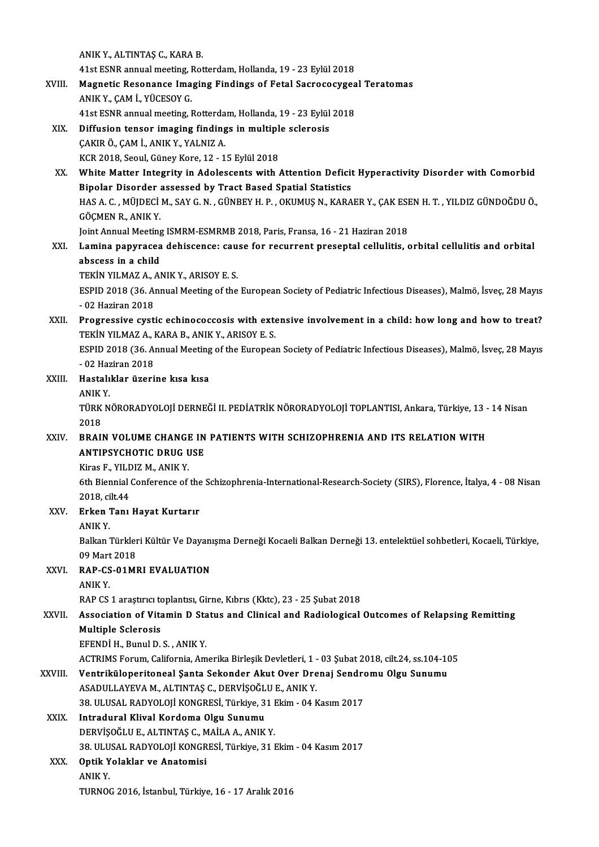ANIKY.,ALTINTAŞC.,KARAB. 41st ESNR annual meeting, Rotterdam, Hollanda, 19 - 23 Eylül 2018 ANIK Y., ALTINTAŞ C., KARA B.<br>41st ESNR annual meeting, Rotterdam, Hollanda, 19 - 23 Eylül 2018<br>XVIII. Magnetic Resonance Imaging Findings of Fetal Sacrococygeal Teratomas 41st ESNR annual meeting, I<br>Magnetic Resonance Ima<br>ANIK Y., ÇAM İ., YÜCESOY G.<br>41st ESNP annual meeting J Magnetic Resonance Imaging Findings of Fetal Sacrococygea<br>ANIK Y., ÇAM İ., YÜCESOY G.<br>41st ESNR annual meeting, Rotterdam, Hollanda, 19 - 23 Eylül 2018<br>Diffusion tansar imaging findings in multiple selenesis ANIK Y., ÇAM İ., YÜCESOY G.<br>41st ESNR annual meeting, Rotterdam, Hollanda, 19 - 23 Eylül<br>XIX. Diffusion tensor imaging findings in multiple sclerosis<br>CAKIP Ö. CAM İ. ANIK Y. YALNIZ A 41st ESNR annual meeting, Rotterdam, Hollanda, 19 - 23 Eylül 2018<br>Diffusion tensor imaging findings in multiple sclerosis<br>ÇAKIR Ö., ÇAM İ., ANIK Y., YALNIZ A.<br>KCR 2018, Seoul, Güney Kore, 12 - 15 Eylül 2018 Diffusion tensor imaging findings in multipl<br>ÇAKIR Ö., ÇAM İ., ANIK Y., YALNIZ A.<br>KCR 2018, Seoul, Güney Kore, 12 - 15 Eylül 2018<br>White Matter Integrity in Adelessents with XX. White Matter Integrity in Adolescents with Attention Deficit Hyperactivity Disorder with Comorbid KCR 2018, Seoul, Güney Kore, 12 - 15 Eylül 2018<br>White Matter Integrity in Adolescents with Attention Deficit<br>Bipolar Disorder assessed by Tract Based Spatial Statistics<br>HAS A.C. MÜDECLM, SAV.C.N., CÜNEEVH B., OVUMUS N. KAR White Matter Integrity in Adolescents with Attention Deficit Hyperactivity Disorder with Comorbid<br>Bipolar Disorder assessed by Tract Based Spatial Statistics<br>HAS A. C. , MÜJDECİ M., SAY G. N. , GÜNBEY H. P. , OKUMUŞ N., KA Bipolar Disorder<br>HAS A. C. , MÜJDECİ<br>GÖÇMEN R., ANIK Y.<br>Jaint Annual Mastins HAS A. C. , MÜJDECİ M., SAY G. N. , GÜNBEY H. P. , OKUMUŞ N., KARAER Y., ÇAK ESI<br>GÖÇMEN R., ANIK Y.<br>Joint Annual Meeting ISMRM-ESMRMB 2018, Paris, Fransa, 16 - 21 Haziran 2018<br>Lamina nanyvassa dahissansa: saysa far resurra GÖÇMEN R., ANIK Y.<br>Joint Annual Meeting ISMRM-ESMRMB 2018, Paris, Fransa, 16 - 21 Haziran 2018<br>XXI. Lamina papyracea dehiscence: cause for recurrent preseptal cellulitis, orbital cellulitis and orbital Joint Annual Meeting<br><mark>Lamina papyracea</mark><br>abscess in a child<br>TEKIN VILMAZA AL Lamina papyracea dehiscence: cau<br>abscess in a child<br>TEKİN YILMAZ A., ANIK Y., ARISOY E. S.<br>ESPID 2019 (26. Annual Meeting of the abscess in a child<br>TEKİN YILMAZ A., ANIK Y., ARISOY E. S.<br>ESPID 2018 (36. Annual Meeting of the European Society of Pediatric Infectious Diseases), Malmö, İsveç, 28 Mayıs TEKİN YILMAZ A., *I*<br>ESPID 2018 (36. Al<br>- 02 Haziran 2018<br>Progressive *sus*ti ESPID 2018 (36. Annual Meeting of the European Society of Pediatric Infectious Diseases), Malmö, İsveç, 28 Mayıs<br>- 02 Haziran 2018<br>XXII. Progressive cystic echinococcosis with extensive involvement in a child: how long and - 02 Haziran 2018<br>Progressive cystic echinococcosis with exte<br>TEKİN YILMAZ A., KARA B., ANIK Y., ARISOY E. S.<br>ESPID 2018 (26 Annual Mestins of the Europea Progressive cystic echinococcosis with extensive involvement in a child: how long and how to treat?<br>TEKİN YILMAZ A., KARA B., ANIK Y., ARISOY E. S.<br>ESPID 2018 (36. Annual Meeting of the European Society of Pediatric Infect TEKİN YILMAZ A., KARA B., ANIK Y., ARISOY E. S.<br>ESPID 2018 (36. Annual Meeting of the European Society of Pediatric Infectious Diseases), Malmö, İsveç, 28 Mayıs XXIII. Hastalıklar üzerine kısa kısa<br>ANIK Y  $-02$  Haziran 2018 Hastalıklar üzerine kısa kısa<br>ANIK Y.<br>TÜRK NÖRORADYOLOJİ DERNEĞİ II. PEDİATRİK NÖRORADYOLOJİ TOPLANTISI, Ankara, Türkiye, 13 - 14 Nisan<br>2018 ANIK<br>TÜRK<br>2018<br>PPAU TÜRK NÖRORADYOLOJİ DERNEĞİ II. PEDİATRİK NÖRORADYOLOJİ TOPLANTISI, Ankara, Türkiye, 13 -<br>2018<br>ANTIBSYCHOTIC DRIIC IISE 2018<br>XXIV. BRAIN VOLUME CHANGE IN PATIENTS WITH SCHIZOPHRENIA AND ITS RELATION WITH<br>ANTIPSYCHOTIC DRUG USE Kiras F., YILDIZ M., ANIK Y. ANTIPSYCHOTIC DRUG USE<br>Kiras F., YILDIZ M., ANIK Y.<br>6th Biennial Conference of the Schizophrenia-International-Research-Society (SIRS), Florence, İtalya, 4 - 08 Nisan<br>2018. silt 44 Kiras F., YILD<br>6th Biennial<br>2018, cilt.44<br>Erken Ten 6th Biennial Conference of the<br>2018, cilt.44<br>XXV. Erken Tanı Hayat Kurtarır 2018, ci<br><mark>Erken</mark><br>ANIK Y.<br><sup>Rollmn</sup> i Erken Tanı Hayat Kurtarır<br>ANIK Y.<br>Balkan Türkleri Kültür Ve Dayanışma Derneği Kocaeli Balkan Derneği 13. entelektüel sohbetleri, Kocaeli, Türkiye, ANIK Y.<br>Balkan Türkler<br>09 Mart 2018<br>BAB CS 01MI XXVI. RAP-CS-01MRI EVALUATION<br>ANIK Y. 09 Mart 2018 RAP-CS-01MRI EVALUATION<br>ANIK Y.<br>RAP CS 1 araştırıcı toplantısı, Girne, Kıbrıs (Kktc), 23 - 25 Şubat 2018<br>Association of Vitamin D Status and Glinisal and Badiological XXVII. Association of Vitamin D Status and Clinical and Radiological Outcomes of Relapsing Remitting<br>Multiple Sclerosis RAP CS 1 araștirici to<br>Association of Vita<br>Multiple Sclerosis<br>EEENDI H. Bunul D. EFENDİH.,BunulD.S. ,ANIKY. Multiple Sclerosis<br>EFENDİ H., Bunul D. S. , ANIK Y.<br>ACTRIMS Forum, California, Amerika Birleşik Devletleri, 1 - 03 Şubat 2018, cilt.24, ss.104-105<br>Ventriküleneritaneal Santa Sekandar, Akut Quer Drenai Sandramu, Olgu Sunumu EFENDİ H., Bunul D. S. , ANIK Y.<br>ACTRIMS Forum, California, Amerika Birleşik Devletleri, 1 - 03 Şubat 2018, cilt.24, ss.104-10<br>XXVIII. Ventriküloperitoneal Şanta Sekonder Akut Over Drenaj Sendromu Olgu Sunumu<br>ASADIJI L ACTRIMS Forum, California, Amerika Birleşik Devletleri, 1 -<br>Ventriküloperitoneal Şanta Sekonder Akut Over Dre<br>ASADULLAYEVA M., ALTINTAŞ C., DERVİŞOĞLU E., ANIK Y.<br>29. ULUSAL BADYOLOU KONCRESİ, Türkiye 21 Ekim. 04.k Ventriküloperitoneal Şanta Sekonder Akut Over Drenaj Sendro<br>ASADULLAYEVA M., ALTINTAŞ C., DERVİŞOĞLU E., ANIK Y.<br>38. ULUSAL RADYOLOJİ KONGRESİ, Türkiye, 31 Ekim - 04 Kasım 2017<br>Intradural Klival Kardama Olsu Sunumu ASADULLAYEVA M., ALTINTAŞ C., DERVİŞOĞLU E., ANIK Y.<br>38. ULUSAL RADYOLOJİ KONGRESİ, Türkiye, 31 Ekim - 04 Kasım 2017<br>XXIX. Intradural Klival Kordoma Olgu Sunumu 38. ULUSAL RADYOLOJİ KONGRESİ, Türkiye, 31 l<br>Intradural Klival Kordoma Olgu Sunumu<br>DERVİŞOĞLU E., ALTINTAŞ C., MAİLA A., ANIK Y.<br>28. ULUSAL BADYOLOJİ KONGRESİ, Türkiye, 31 l Intradural Klival Kordoma Olgu Sunumu<br>DERVİŞOĞLU E., ALTINTAŞ C., MAİLA A., ANIK Y.<br>38. ULUSAL RADYOLOJİ KONGRESİ, Türkiye, 31 Ekim - 04 Kasım 2017<br>Ontik Yalaklar ve Anatamiai DERVİŞOĞLU E., ALTINTAŞ C., M<br>38. ULUSAL RADYOLOJİ KONGR<br>XXX. Optik Yolaklar ve Anatomisi 38. ULU<br>Optik Y<br>ANIK Y.<br>TUPNOC Optik Yolaklar ve Anatomisi<br>ANIK Y.<br>TURNOG 2016, İstanbul, Türkiye, 16 - 17 Aralık 2016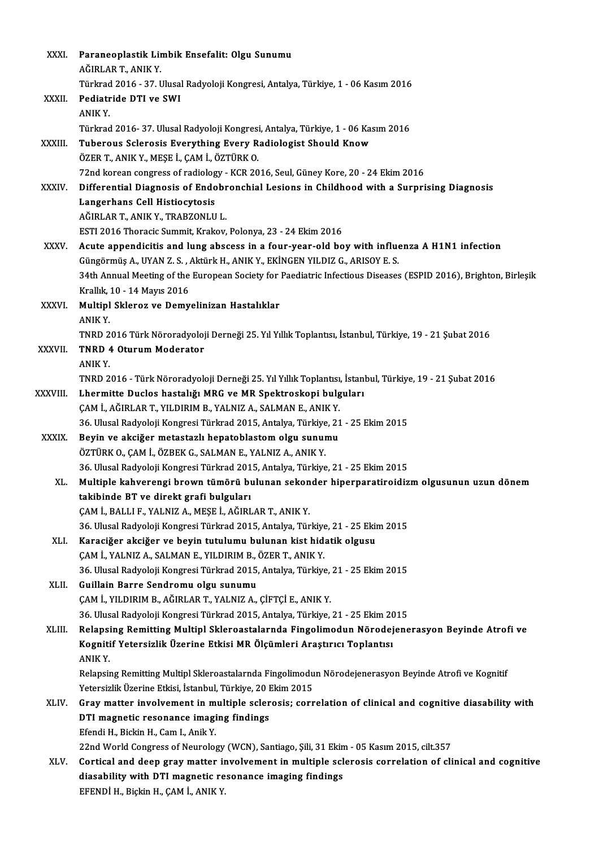| XXXI.        | Paraneoplastik Limbik Ensefalit: Olgu Sunumu                                                                                  |
|--------------|-------------------------------------------------------------------------------------------------------------------------------|
|              | AĞIRLAR T, ANIK Y.                                                                                                            |
|              | Türkrad 2016 - 37. Ulusal Radyoloji Kongresi, Antalya, Türkiye, 1 - 06 Kasım 2016                                             |
| XXXII.       | Pediatride DTI ve SWI                                                                                                         |
|              | ANIK Y.                                                                                                                       |
|              | Türkrad 2016-37. Ulusal Radyoloji Kongresi, Antalya, Türkiye, 1 - 06 Kasım 2016                                               |
| XXXIII.      | Tuberous Sclerosis Everything Every Radiologist Should Know                                                                   |
|              | ÖZER T., ANIK Y., MEŞE İ., ÇAM İ., ÖZTÜRK O.                                                                                  |
|              | 72nd korean congress of radiology - KCR 2016, Seul, Güney Kore, 20 - 24 Ekim 2016                                             |
| <b>XXXIV</b> | Differential Diagnosis of Endobronchial Lesions in Childhood with a Surprising Diagnosis                                      |
|              | Langerhans Cell Histiocytosis                                                                                                 |
|              | AĞIRLAR T., ANIK Y., TRABZONLU L.                                                                                             |
|              | ESTI 2016 Thoracic Summit, Krakov, Polonya, 23 - 24 Ekim 2016                                                                 |
| XXXV.        | Acute appendicitis and lung abscess in a four-year-old boy with influenza A H1N1 infection                                    |
|              | Güngörmüş A., UYAN Z. S., Aktürk H., ANIK Y., EKİNGEN YILDIZ G., ARISOY E. S.                                                 |
|              | 34th Annual Meeting of the European Society for Paediatric Infectious Diseases (ESPID 2016), Brighton, Birleşik               |
|              | Krallık, 10 - 14 Mayıs 2016                                                                                                   |
| XXXVI.       | Multipl Skleroz ve Demyelinizan Hastalıklar                                                                                   |
|              | ANIK Y.                                                                                                                       |
|              | TNRD 2016 Türk Nöroradyoloji Derneği 25. Yıl Yıllık Toplantısı, İstanbul, Türkiye, 19 - 21 Şubat 2016                         |
| XXXVII.      | <b>TNRD 4 Oturum Moderator</b>                                                                                                |
|              | ANIK Y.                                                                                                                       |
|              | TNRD 2016 - Türk Nöroradyoloji Derneği 25. Yıl Yıllık Toplantısı, İstanbul, Türkiye, 19 - 21 Şubat 2016                       |
| XXXVIII.     | Lhermitte Duclos hastalığı MRG ve MR Spektroskopi bulguları<br>ÇAM İ., AĞIRLAR T., YILDIRIM B., YALNIZ A., SALMAN E., ANIK Y. |
|              | 36. Ulusal Radyoloji Kongresi Türkrad 2015, Antalya, Türkiye, 21 - 25 Ekim 2015                                               |
| <b>XXXIX</b> | Beyin ve akciğer metastazlı hepatoblastom olgu sunumu                                                                         |
|              | ÖZTÜRK O., ÇAM İ., ÖZBEK G., SALMAN E., YALNIZ A., ANIK Y.                                                                    |
|              | 36. Ulusal Radyoloji Kongresi Türkrad 2015, Antalya, Türkiye, 21 - 25 Ekim 2015                                               |
| XL.          | Multiple kahverengi brown tümörü bulunan sekonder hiperparatiroidizm olgusunun uzun dönem                                     |
|              | takibinde BT ve direkt grafi bulguları                                                                                        |
|              | ÇAM İ., BALLI F., YALNIZ A., MEŞE İ., AĞIRLAR T., ANIK Y.                                                                     |
|              | 36. Ulusal Radyoloji Kongresi Türkrad 2015, Antalya, Türkiye, 21 - 25 Ekim 2015                                               |
| XLI.         | Karaciğer akciğer ve beyin tutulumu bulunan kist hidatik olgusu                                                               |
|              | ÇAM İ., YALNIZ A., SALMAN E., YILDIRIM B., ÖZER T., ANIK Y.                                                                   |
|              | 36. Ulusal Radyoloji Kongresi Türkrad 2015, Antalya, Türkiye, 21 - 25 Ekim 2015                                               |
| XLII.        | Guillain Barre Sendromu olgu sunumu                                                                                           |
|              | ÇAM İ., YILDIRIM B., AĞIRLAR T., YALNIZ A., ÇİFTÇİ E., ANIK Y.                                                                |
|              | 36. Ulusal Radyoloji Kongresi Türkrad 2015, Antalya, Türkiye, 21 - 25 Ekim 2015                                               |
| XLIII.       | Relapsing Remitting Multipl Skleroastalarnda Fingolimodun Nörodejenerasyon Beyinde Atrofi ve                                  |
|              | Kognitif Yetersizlik Üzerine Etkisi MR Ölçümleri Araştırıcı Toplantısı                                                        |
|              | <b>ANIKY</b>                                                                                                                  |
|              | Relapsing Remitting Multipl Skleroastalarnda Fingolimodun Nörodejenerasyon Beyinde Atrofi ve Kognitif                         |
|              | Yetersizlik Üzerine Etkisi, İstanbul, Türkiye, 20 Ekim 2015                                                                   |
| XLIV.        | Gray matter involvement in multiple sclerosis; correlation of clinical and cognitive diasability with                         |
|              | DTI magnetic resonance imaging findings                                                                                       |
|              | Efendi H., Bickin H., Cam I., Anik Y.                                                                                         |
|              | 22nd World Congress of Neurology (WCN), Santiago, Şili, 31 Ekim - 05 Kasım 2015, cilt.357                                     |
| XLV.         | Cortical and deep gray matter involvement in multiple sclerosis correlation of clinical and cognitive                         |
|              | diasability with DTI magnetic resonance imaging findings<br>EFENDİ H., Biçkin H., ÇAM İ., ANIK Y.                             |
|              |                                                                                                                               |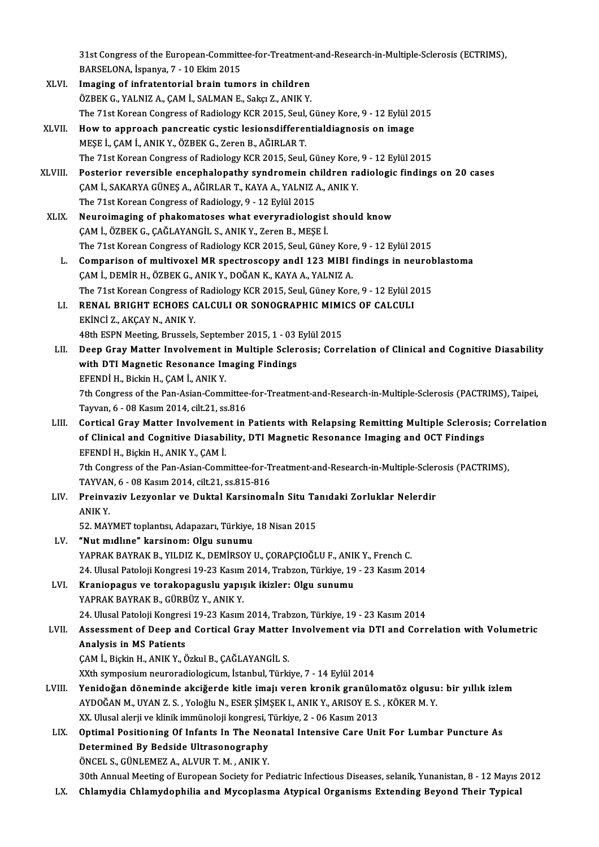31st Congress of the European-Committee-for-Treatment-and-Research-in-Multiple-Sclerosis (ECTRIMS),<br>RARSELONA, İspanya 7, 10 Eltim 2015 31st Congress of the European-Committ<br>BARSELONA, İspanya, 7 - 10 Ekim 2015<br>Imagina of infratenterial brain tume BARSELONA, İspanya, 7 - 10 Ekim 2015<br>XLVI. Imaging of infratentorial brain tumors in children

- ÖZBEKG.,YALNIZA.,ÇAMİ.,SALMANE.,SakçıZ.,ANIKY. The 71st Korean Congress of Radiology KCR 2015, Seul, Güney Kore, 9 - 12 Eylül 2015 ÖZBEK G., YALNIZ A., ÇAM İ., SALMAN E., Sakçı Z., ANIK Y.<br>The 71st Korean Congress of Radiology KCR 2015, Seul, Güney Kore, 9 - 12 Eylül 2<br>XLVII. How to approach pancreatic cystic lesionsdifferentialdiagnosis on image<br>MESE
- MEŞE İ., ÇAM İ., ANIK Y., ÖZBEK G., Zeren B., AĞIRLAR T.<br>The 71st Korean Congress of Radiology KCR 2015, Seul, Güney Kore, 9 12 Eylül 2015 How to approach pancreatic cystic lesionsdifferentialdiagnosis on image<br>MEŞE İ., ÇAM İ., ANIK Y., ÖZBEK G., Zeren B., AĞIRLAR T.<br>The 71st Korean Congress of Radiology KCR 2015, Seul, Güney Kore, 9 - 12 Eylül 2015<br>Postariar MEŞE İ., ÇAM İ., ANIK Y., ÖZBEK G., Zeren B., AĞIRLAR T.<br>The 71st Korean Congress of Radiology KCR 2015, Seul, Güney Kore, 9 - 12 Eylül 2015<br>XLVIII. Posterior reversible encephalopathy syndromein children radiologic findin
- The 71st Korean Congress of Radiology KCR 2015, Seul, Güney Kore,<br>Posterior reversible encephalopathy syndromein children ra<br>ÇAM İ., SAKARYA GÜNEŞ A., AĞIRLAR T., KAYA A., YALNIZ A., ANIK Y.<br>The 71st Kerean Congress of Bad Posterior reversible encephalopathy syndromein ch<br>CAM İ., SAKARYA GÜNEŞ A., AĞIRLAR T., KAYA A., YALNIZ<br>The 71st Korean Congress of Radiology, 9 - 12 Eylül 2015<br>Nauraimaging of phakamatages what everyradiolog CAM İ., SAKARYA GÜNEŞ A., AĞIRLAR T., KAYA A., YALNIZ A., ANIK Y.<br>The 71st Korean Congress of Radiology, 9 - 12 Eylül 2015<br>XLIX. Neuroimaging of phakomatoses what everyradiologist should know
- ÇAMİ.,ÖZBEKG.,ÇAĞLAYANGİL S.,ANIKY.,ZerenB.,MEŞEİ. Neuroimaging of phakomatoses what everyradiologist should know<br>ÇAM İ., ÖZBEK G., ÇAĞLAYANGİL S., ANIK Y., Zeren B., MEŞE İ.<br>The 71st Korean Congress of Radiology KCR 2015, Seul, Güney Kore, 9 - 12 Eylül 2015<br>Comparison of CAM İ., ÖZBEK G., ÇAĞLAYANGİL S., ANIK Y., Zeren B., MEŞE İ.<br>The 71st Korean Congress of Radiology KCR 2015, Seul, Güney Kore, 9 - 12 Eylül 2015<br>L. Comparison of multivoxel MR spectroscopy andI 123 MIBI findings in neurobl
	- The 71st Korean Congress of Radiology KCR 2015, Seul, Güney Kore<br>Comparison of multivoxel MR spectroscopy andI 123 MIBI 1<br>ÇAM İ., DEMİR H., ÖZBEK G., ANIK Y., DOĞAN K., KAYA A., YALNIZ A.<br>The 71st Korean Congress of Badiol Comparison of multivoxel MR spectroscopy andI 123 MIBI findings in neurol<br>ÇAM İ., DEMİR H., ÖZBEK G., ANIK Y., DOĞAN K., KAYA A., YALNIZ A.<br>The 71st Korean Congress of Radiology KCR 2015, Seul, Güney Kore, 9 - 12 Eylül 201 CAM İ., DEMİR H., ÖZBEK G., ANIK Y., DOĞAN K., KAYA A., YALNIZ A.<br>The 71st Korean Congress of Radiology KCR 2015, Seul, Güney Kore, 9 - 12 Eylül 2<br>LI. RENAL BRIGHT ECHOES CALCULI OR SONOGRAPHIC MIMICS OF CALCULI
	- The 71st Korean Congress of Radiology KCR 2015, Seul, Güney Kore, 9 12 Eylül 2015<br>RENAL BRIGHT ECHOES CALCULI OR SONOGRAPHIC MIMICS OF CALCULI<br>EKİNCİ Z., AKÇAY N., ANIK Y. RENAL BRIGHT ECHOES CALCULI OR SONOGRAPHIC MIMI<br>EKİNCİ Z., AKÇAY N., ANIK Y.<br>48th ESPN Meeting, Brussels, September 2015, 1 - 03 Eylül 2015<br>Deep Cray Matter Involvement in Multiple Selenegia: Cenn
	- EKİNCİ Z., AKÇAY N., ANIK Y.<br>48th ESPN Meeting, Brussels, September 2015, 1 03 Eylül 2015<br>LII. Deep Gray Matter Involvement in Multiple Sclerosis; Correlation of Clinical and Cognitive Diasability<br>with DTI Magnetis B 48th ESPN Meeting, Brussels, September 2015, 1 - 03 Eylül 2015<br>Deep Gray Matter Involvement in Multiple Sclerosis; Corr<br>with DTI Magnetic Resonance Imaging Findings<br>EFENDİ H., Bickin H., ÇAM İ., ANIK Y. Deep Gray Matter Involvement i<br>with DTI Magnetic Resonance In<br>EFENDİ H., Bickin H., ÇAM İ., ANIK Y.<br>7th Congress of the Ban Asian Comn with DTI Magnetic Resonance Imaging Findings<br>EFENDİ H., Bickin H., ÇAM İ., ANIK Y.<br>7th Congress of the Pan-Asian-Committee-for-Treatment-and-Research-in-Multiple-Sclerosis (PACTRIMS), Taipei,<br>Tayrıan 6, .09 Kasım 2014, cil EFENDİ H., Bickin H., ÇAM İ., ANIK Y.<br>7th Congress of the Pan-Asian-Committee<br>Tayvan, 6 - 08 Kasım 2014, cilt.21, ss.816<br>Cortisal Cray Matter Involvement in

Th Congress of the Pan-Asian-Committee-for-Treatment-and-Research-in-Multiple-Sclerosis (PACTRIMS), Taipei,<br>Tayvan, 6 - 08 Kasım 2014, cilt.21, ss.816<br>LIII. Cortical Gray Matter Involvement in Patients with Relapsing Remit Tayvan, 6 - 08 Kasım 2014, cilt.21, ss.816<br>Cortical Gray Matter Involvement in Patients with Relapsing Remitting Multiple Sclerosis<br>of Clinical and Cognitive Diasability, DTI Magnetic Resonance Imaging and OCT Findings<br>EFF Cortical Gray Matter Involvemer<br>of Clinical and Cognitive Diasabi<br>EFENDİ H., Biçkin H., ANIK Y., ÇAM İ.<br><sup>7th Congrees of the Ban Asian Comn</sup> of Clinical and Cognitive Diasability, DTI Magnetic Resonance Imaging and OCT Findings<br>EFENDİ H., Biçkin H., ANIK Y., ÇAM İ.<br>7th Congress of the Pan-Asian-Committee-for-Treatment-and-Research-in-Multiple-Sclerosis (PACTRIM

EFENDİ H., Biçkin H., ANIK Y., ÇAM İ.<br>7th Congress of the Pan-Asian-Committee-for-T.<br>TAYVAN, 6 - 08 Kasım 2014, cilt.21, ss.815-816<br>Preinvesiy J. esvenler ve Duktal Kensinems 7th Congress of the Pan-Asian-Committee-for-Treatment-and-Research-in-Multiple-Scler<br>TAYVAN, 6 - 08 Kasım 2014, cilt.21, ss.815-816<br>LIV. Preinvaziv Lezyonlar ve Duktal Karsinomaİn Situ Tanıdaki Zorluklar Nelerdir

TAYVAN, 6 - 08 Kasım 2014, cilt.21, ss.815-816<br>Preinvaziv Lezyonlar ve Duktal Karsinomaİn Situ Tanıdaki Zorluklar Nelerdir<br>ANIK Y.

52. MAYMET toplantısı, Adapazarı, Türkiye, 18 Nisan 2015

- LV. "Nut midline" karsinom: Olgu sunumu 52. MAYMET toplantısı, Adapazarı, Türkiye, 18 Nisan 2015<br>**"Nut mıdlıne" karsinom: Olgu sunumu**<br>YAPRAK BAYRAK B., YILDIZ K., DEMİRSOY U., ÇORAPÇIOĞLU F., ANIK Y., French C.<br>24 Hlugal Patalaji Kangyasi 19.22 Kasım 2014, Trab "Nut mıdlıne" karsinom: Olgu sunumu<br>YAPRAK BAYRAK B., YILDIZ K., DEMİRSOY U., ÇORAPÇIOĞLU F., ANIK Y., French C.<br>24. Ulusal Patoloji Kongresi 19-23 Kasım 2014, Trabzon, Türkiye, 19 - 23 Kasım 2014<br>Krapionagua ve tarakanagu 24. Ulusal Patoloji Kongresi 19-23 Kasım 2014, Trabzon, Türkiye, 19 - 23 Kasım 2014<br>LVI. Kraniopagus ve torakopaguslu yapışık ikizler: Olgu sunumu
- YAPRAK BAYRAK B., GÜRBÜZ Y., ANIK Y. Kraniopagus ve torakopaguslu yapışık ikizler: Olgu sunumu<br>YAPRAK BAYRAK B., GÜRBÜZ Y., ANIK Y.<br>24. Ulusal Patoloji Kongresi 19-23 Kasım 2014, Trabzon, Türkiye, 19 - 23 Kasım 2014<br>Assessment of Deep and Cortisal Cray Matter

## LVII. Assessment of Deep and Cortical Gray Matter Involvement via DTI and Correlation with Volumetric<br>Analysis in MS Patients 24. Ulusal Patoloji Kongres<br>Assessment of Deep and<br>Analysis in MS Patients<br>CAM L Bigkin H ANIK V Č

ÇAM İ., Biçkin H., ANIK Y., Özkul B., ÇAĞLAYANGİL S.

XXth symposium neuroradiologicum, İstanbul, Türkiye, 7 - 14 Eylül 2014

- CAM İ., Biçkin H., ANIK Y., Özkul B., ÇAĞLAYANGİL S.<br>XXth symposium neuroradiologicum, İstanbul, Türkiye, 7 14 Eylül 2014<br>LVIII. Yenidoğan döneminde akciğerde kitle imajı veren kronik granülomatöz olgusu: bir yıllık XXth symposium neuroradiologicum, İstanbul, Türkiye, 7 - 14 Eylül 2014<br>Yenidoğan döneminde akciğerde kitle imajı veren kronik granülomatöz olgusu<br>AYDOĞAN M., UYAN Z. S. , Yoloğlu N., ESER ŞİMŞEK I., ANIK Y., ARISOY E. S. , Yenidoğan döneminde akciğerde kitle imajı veren kronik granülol<br>AYDOĞAN M., UYAN Z. S. , Yoloğlu N., ESER ŞİMŞEK I., ANIK Y., ARISOY E. S.<br>XX. Ulusal alerji ve klinik immünoloji kongresi, Türkiye, 2 - 06 Kasım 2013<br>Ontimal AYDOĞAN M., UYAN Z. S. , Yoloğlu N., ESER ŞİMŞEK I., ANIK Y., ARISOY E. S. , KÖKER M. Y.<br>XX. Ulusal alerji ve klinik immünoloji kongresi, Türkiye, 2 - 06 Kasım 2013<br>LIX. Optimal Positioning Of Infants In The Neonatal I
- XX. Ulusal alerji ve klinik immünoloji kongresi, 7<br>Optimal Positioning Of Infants In The Neo<br>Determined By Bedside Ultrasonography<br>ÖNCEL S. CÜNLEMEZ A. ALVUR T.M., ANIK V Optimal Positioning Of Infants In The Neo<br>Determined By Bedside Ultrasonography<br>ÖNCEL S., GÜNLEMEZ A., ALVUR T. M. , ANIK Y.<br>20th Annual Mesting of European Society for B Determined By Bedside Ultrasonography<br>ÖNCEL S., GÜNLEMEZ A., ALVUR T. M. , ANIK Y.<br>30th Annual Meeting of European Society for Pediatric Infectious Diseases, selanik, Yunanistan, 8 - 12 Mayıs 2012

LX. Chlamydia Chlamydophilia and Mycoplasma Atypical Organisms Extending Beyond Their Typical